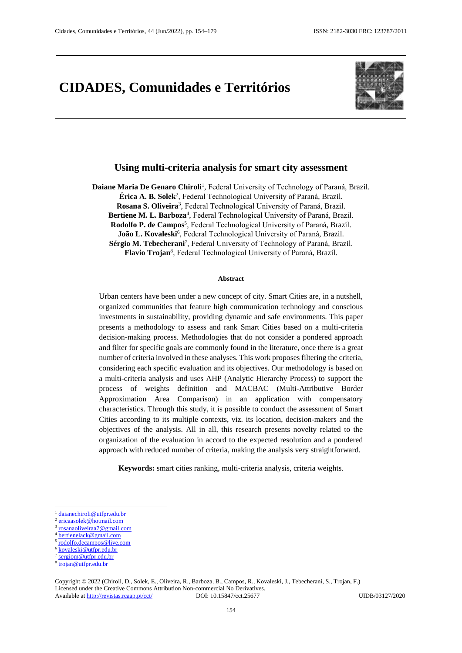# **CIDADES, Comunidades e Territórios**



## **Using multi-criteria analysis for smart city assessment**

Daiane Maria De Genaro Chiroli<sup>1</sup>, Federal University of Technology of Paraná, Brazil. **Érica A. B. Solek**<sup>2</sup> , Federal Technological University of Paraná, Brazil. Rosana S. Oliveira<sup>3</sup>, Federal Technological University of Paraná, Brazil. Bertiene M. L. Barboza<sup>4</sup>, Federal Technological University of Paraná, Brazil. Rodolfo P. de Campos<sup>5</sup>, Federal Technological University of Paraná, Brazil. João L. Kovaleski<sup>6</sup>, Federal Technological University of Paraná, Brazil. Sérgio M. Tebecherani<sup>7</sup>, Federal University of Technology of Paraná, Brazil. **Flavio Trojan**<sup>8</sup> , Federal Technological University of Paraná, Brazil.

#### **Abstract**

Urban centers have been under a new concept of city. Smart Cities are, in a nutshell, organized communities that feature high communication technology and conscious investments in sustainability, providing dynamic and safe environments. This paper presents a methodology to assess and rank Smart Cities based on a multi-criteria decision-making process. Methodologies that do not consider a pondered approach and filter for specific goals are commonly found in the literature, once there is a great number of criteria involved in these analyses. This work proposes filtering the criteria, considering each specific evaluation and its objectives. Our methodology is based on a multi-criteria analysis and uses AHP (Analytic Hierarchy Process) to support the process of weights definition and MACBAC (Multi-Attributive Border Approximation Area Comparison) in an application with compensatory characteristics. Through this study, it is possible to conduct the assessment of Smart Cities according to its multiple contexts, viz. its location, decision-makers and the objectives of the analysis. All in all, this research presents novelty related to the organization of the evaluation in accord to the expected resolution and a pondered approach with reduced number of criteria, making the analysis very straightforward.

**Keywords:** smart cities ranking, multi-criteria analysis, criteria weights.

**.** 

5 [rodolfo.decampos@live.com](mailto:rodolfo.decampos@live.com)

<sup>1</sup> [daianechiroli@utfpr.edu.br](mailto:daianechiroli@utfpr.edu.br) 2

[ericaasolek@hotmail.com](mailto:ericaasolek@hotmail.com)

<sup>3</sup> [rosanaoliveiraa7@gmail.com](mailto:rosanaoliveiraa7@gmail.com)

<sup>4</sup> [bertienelack@gmail.com](mailto:bertienelack@gmail.com)

<sup>6</sup> [kovaleski@utfpr.edu.br](mailto:kovaleski@utfpr.edu.br)

<sup>7</sup> [sergiom@utfpr.edu.br](mailto:sergiom@utfpr.edu.br)

<sup>8</sup> [trojan@utfpr.edu.br](mailto:trojan@utfpr.edu.br)

Copyright © 2022 (Chiroli, D., Solek, E., Oliveira, R., Barboza, B., Campos, R., Kovaleski, J., Tebecherani, S., Trojan, F.) Licensed under the Creative Commons Attribution Non-commercial No Derivatives. Available at<http://revistas.rcaap.pt/cct/>DOI: 10.15847/cct.25677 UIDB/03127/2020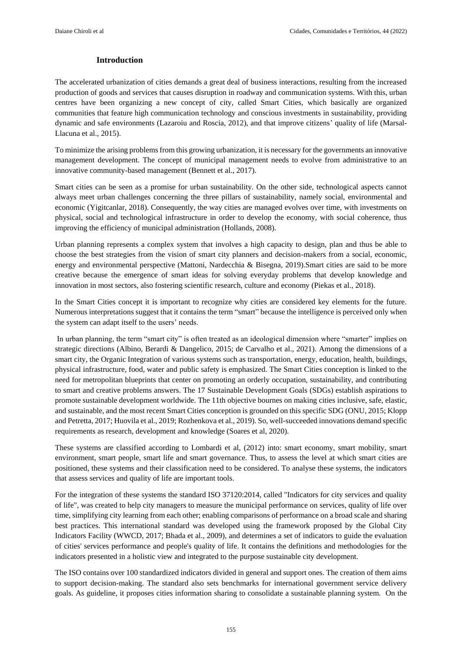## **Introduction**

The accelerated urbanization of cities demands a great deal of business interactions, resulting from the increased production of goods and services that causes disruption in roadway and communication systems. With this, urban centres have been organizing a new concept of city, called Smart Cities, which basically are organized communities that feature high communication technology and conscious investments in sustainability, providing dynamic and safe environments (Lazaroiu and Roscia, 2012), and that improve citizens' quality of life (Marsal-Llacuna et al., 2015).

To minimize the arising problems from this growing urbanization, it is necessary for the governments an innovative management development. The concept of municipal management needs to evolve from administrative to an innovative community-based management (Bennett et al., 2017).

Smart cities can be seen as a promise for urban sustainability. On the other side, technological aspects cannot always meet urban challenges concerning the three pillars of sustainability, namely social, environmental and economic (Yigitcanlar, 2018). Consequently, the way cities are managed evolves over time, with investments on physical, social and technological infrastructure in order to develop the economy, with social coherence, thus improving the efficiency of municipal administration (Hollands, 2008).

Urban planning represents a complex system that involves a high capacity to design, plan and thus be able to choose the best strategies from the vision of smart city planners and decision-makers from a social, economic, energy and environmental perspective (Mattoni, Nardecchia & Bisegna, 2019).Smart cities are said to be more creative because the emergence of smart ideas for solving everyday problems that develop knowledge and innovation in most sectors, also fostering scientific research, culture and economy (Piekas et al., 2018).

In the Smart Cities concept it is important to recognize why cities are considered key elements for the future. Numerous interpretations suggest that it contains the term "smart" because the intelligence is perceived only when the system can adapt itself to the users' needs.

In urban planning, the term "smart city" is often treated as an ideological dimension where "smarter" implies on strategic directions (Albino, Berardi & Dangelico, 2015; de Carvalho et al., 2021). Among the dimensions of a smart city, the Organic Integration of various systems such as transportation, energy, education, health, buildings, physical infrastructure, food, water and public safety is emphasized. The Smart Cities conception is linked to the need for metropolitan blueprints that center on promoting an orderly occupation, sustainability, and contributing to smart and creative problems answers. The 17 Sustainable Development Goals (SDGs) establish aspirations to promote sustainable development worldwide. The 11th objective bournes on making cities inclusive, safe, elastic, and sustainable, and the most recent Smart Cities conception is grounded on this specific SDG (ONU, 2015; Klopp and Petretta, 2017; Huovila et al., 2019; Rozhenkova et al., 2019). So, well-succeeded innovations demand specific requirements as research, development and knowledge (Soares et al, 2020).

These systems are classified according to Lombardi et al, (2012) into: smart economy, smart mobility, smart environment, smart people, smart life and smart governance. Thus, to assess the level at which smart cities are positioned, these systems and their classification need to be considered. To analyse these systems, the indicators that assess services and quality of life are important tools.

For the integration of these systems the standard ISO 37120:2014, called "Indicators for city services and quality of life", was created to help city managers to measure the municipal performance on services, quality of life over time, simplifying city learning from each other; enabling comparisons of performance on a broad scale and sharing best practices. This international standard was developed using the framework proposed by the Global City Indicators Facility (WWCD, 2017; Bhada et al., 2009), and determines a set of indicators to guide the evaluation of cities' services performance and people's quality of life. It contains the definitions and methodologies for the indicators presented in a holistic view and integrated to the purpose sustainable city development.

The ISO contains over 100 standardized indicators divided in general and support ones. The creation of them aims to support decision-making. The standard also sets benchmarks for international government service delivery goals. As guideline, it proposes cities information sharing to consolidate a sustainable planning system. On the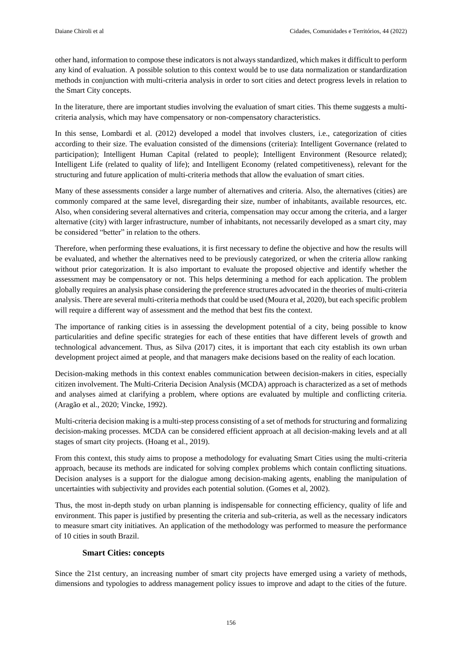other hand, information to compose these indicators is not always standardized, which makes it difficult to perform any kind of evaluation. A possible solution to this context would be to use data normalization or standardization methods in conjunction with multi-criteria analysis in order to sort cities and detect progress levels in relation to the Smart City concepts.

In the literature, there are important studies involving the evaluation of smart cities. This theme suggests a multicriteria analysis, which may have compensatory or non-compensatory characteristics.

In this sense, Lombardi et al. (2012) developed a model that involves clusters, i.e., categorization of cities according to their size. The evaluation consisted of the dimensions (criteria): Intelligent Governance (related to participation); Intelligent Human Capital (related to people); Intelligent Environment (Resource related); Intelligent Life (related to quality of life); and Intelligent Economy (related competitiveness), relevant for the structuring and future application of multi-criteria methods that allow the evaluation of smart cities.

Many of these assessments consider a large number of alternatives and criteria. Also, the alternatives (cities) are commonly compared at the same level, disregarding their size, number of inhabitants, available resources, etc. Also, when considering several alternatives and criteria, compensation may occur among the criteria, and a larger alternative (city) with larger infrastructure, number of inhabitants, not necessarily developed as a smart city, may be considered "better" in relation to the others.

Therefore, when performing these evaluations, it is first necessary to define the objective and how the results will be evaluated, and whether the alternatives need to be previously categorized, or when the criteria allow ranking without prior categorization. It is also important to evaluate the proposed objective and identify whether the assessment may be compensatory or not. This helps determining a method for each application. The problem globally requires an analysis phase considering the preference structures advocated in the theories of multi-criteria analysis. There are several multi-criteria methods that could be used (Moura et al, 2020), but each specific problem will require a different way of assessment and the method that best fits the context.

The importance of ranking cities is in assessing the development potential of a city, being possible to know particularities and define specific strategies for each of these entities that have different levels of growth and technological advancement. Thus, as Silva (2017) cites, it is important that each city establish its own urban development project aimed at people, and that managers make decisions based on the reality of each location.

Decision-making methods in this context enables communication between decision-makers in cities, especially citizen involvement. The Multi-Criteria Decision Analysis (MCDA) approach is characterized as a set of methods and analyses aimed at clarifying a problem, where options are evaluated by multiple and conflicting criteria. (Aragão et al., 2020; Vincke, 1992).

Multi-criteria decision making is a multi-step process consisting of a set of methods for structuring and formalizing decision-making processes. MCDA can be considered efficient approach at all decision-making levels and at all stages of smart city projects. (Hoang et al., 2019).

From this context, this study aims to propose a methodology for evaluating Smart Cities using the multi-criteria approach, because its methods are indicated for solving complex problems which contain conflicting situations. Decision analyses is a support for the dialogue among decision-making agents, enabling the manipulation of uncertainties with subjectivity and provides each potential solution. (Gomes et al, 2002).

Thus, the most in-depth study on urban planning is indispensable for connecting efficiency, quality of life and environment. This paper is justified by presenting the criteria and sub-criteria, as well as the necessary indicators to measure smart city initiatives. An application of the methodology was performed to measure the performance of 10 cities in south Brazil.

## **Smart Cities: concepts**

Since the 21st century, an increasing number of smart city projects have emerged using a variety of methods, dimensions and typologies to address management policy issues to improve and adapt to the cities of the future.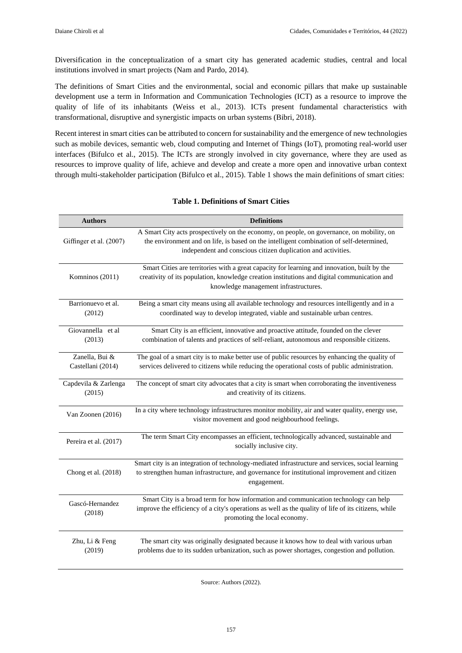Diversification in the conceptualization of a smart city has generated academic studies, central and local institutions involved in smart projects (Nam and Pardo, 2014).

The definitions of Smart Cities and the environmental, social and economic pillars that make up sustainable development use a term in Information and Communication Technologies (ICT) as a resource to improve the quality of life of its inhabitants (Weiss et al., 2013). ICTs present fundamental characteristics with transformational, disruptive and synergistic impacts on urban systems (Bibri, 2018).

Recent interest in smart cities can be attributed to concern for sustainability and the emergence of new technologies such as mobile devices, semantic web, cloud computing and Internet of Things (IoT), promoting real-world user interfaces (Bifulco et al., 2015). The ICTs are strongly involved in city governance, where they are used as resources to improve quality of life, achieve and develop and create a more open and innovative urban context through multi-stakeholder participation (Bifulco et al., 2015). Table 1 shows the main definitions of smart cities:

| <b>Authors</b>                      | <b>Definitions</b>                                                                                                                                                                                                                                     |
|-------------------------------------|--------------------------------------------------------------------------------------------------------------------------------------------------------------------------------------------------------------------------------------------------------|
| Giffinger et al. (2007)             | A Smart City acts prospectively on the economy, on people, on governance, on mobility, on<br>the environment and on life, is based on the intelligent combination of self-determined,<br>independent and conscious citizen duplication and activities. |
| Komninos (2011)                     | Smart Cities are territories with a great capacity for learning and innovation, built by the<br>creativity of its population, knowledge creation institutions and digital communication and<br>knowledge management infrastructures.                   |
| Barrionuevo et al.<br>(2012)        | Being a smart city means using all available technology and resources intelligently and in a<br>coordinated way to develop integrated, viable and sustainable urban centres.                                                                           |
| Giovannella et al<br>(2013)         | Smart City is an efficient, innovative and proactive attitude, founded on the clever<br>combination of talents and practices of self-reliant, autonomous and responsible citizens.                                                                     |
| Zanella, Bui &<br>Castellani (2014) | The goal of a smart city is to make better use of public resources by enhancing the quality of<br>services delivered to citizens while reducing the operational costs of public administration.                                                        |
| Capdevila & Zarlenga<br>(2015)      | The concept of smart city advocates that a city is smart when corroborating the inventiveness<br>and creativity of its citizens.                                                                                                                       |
| Van Zoonen (2016)                   | In a city where technology infrastructures monitor mobility, air and water quality, energy use,<br>visitor movement and good neighbourhood feelings.                                                                                                   |
| Pereira et al. (2017)               | The term Smart City encompasses an efficient, technologically advanced, sustainable and<br>socially inclusive city.                                                                                                                                    |
| Chong et al. (2018)                 | Smart city is an integration of technology-mediated infrastructure and services, social learning<br>to strengthen human infrastructure, and governance for institutional improvement and citizen<br>engagement.                                        |
| Gascó-Hernandez<br>(2018)           | Smart City is a broad term for how information and communication technology can help<br>improve the efficiency of a city's operations as well as the quality of life of its citizens, while<br>promoting the local economy.                            |
| Zhu, Li & Feng<br>(2019)            | The smart city was originally designated because it knows how to deal with various urban<br>problems due to its sudden urbanization, such as power shortages, congestion and pollution.                                                                |

#### **Table 1. Definitions of Smart Cities**

Source: Authors (2022).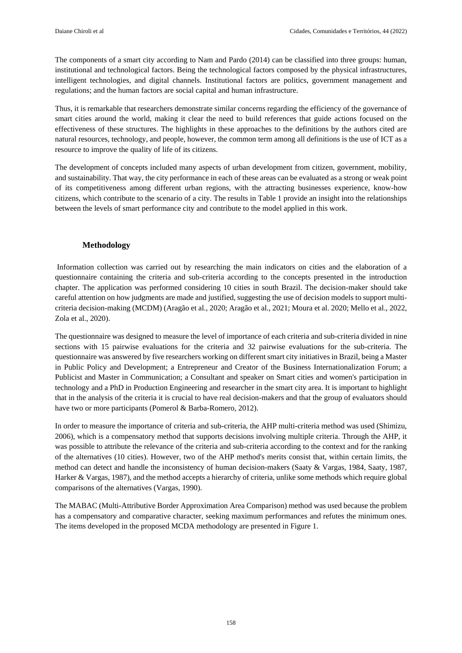The components of a smart city according to Nam and Pardo (2014) can be classified into three groups: human, institutional and technological factors. Being the technological factors composed by the physical infrastructures, intelligent technologies, and digital channels. Institutional factors are politics, government management and regulations; and the human factors are social capital and human infrastructure.

Thus, it is remarkable that researchers demonstrate similar concerns regarding the efficiency of the governance of smart cities around the world, making it clear the need to build references that guide actions focused on the effectiveness of these structures. The highlights in these approaches to the definitions by the authors cited are natural resources, technology, and people, however, the common term among all definitions is the use of ICT as a resource to improve the quality of life of its citizens.

The development of concepts included many aspects of urban development from citizen, government, mobility, and sustainability. That way, the city performance in each of these areas can be evaluated as a strong or weak point of its competitiveness among different urban regions, with the attracting businesses experience, know-how citizens, which contribute to the scenario of a city. The results in Table 1 provide an insight into the relationships between the levels of smart performance city and contribute to the model applied in this work.

## **Methodology**

Information collection was carried out by researching the main indicators on cities and the elaboration of a questionnaire containing the criteria and sub-criteria according to the concepts presented in the introduction chapter. The application was performed considering 10 cities in south Brazil. The decision-maker should take careful attention on how judgments are made and justified, suggesting the use of decision models to support multicriteria decision-making (MCDM) (Aragão et al., 2020; Aragão et al., 2021; Moura et al. 2020; Mello et al., 2022, Zola et al., 2020).

The questionnaire was designed to measure the level of importance of each criteria and sub-criteria divided in nine sections with 15 pairwise evaluations for the criteria and 32 pairwise evaluations for the sub-criteria. The questionnaire was answered by five researchers working on different smart city initiatives in Brazil, being a Master in Public Policy and Development; a Entrepreneur and Creator of the Business Internationalization Forum; a Publicist and Master in Communication; a Consultant and speaker on Smart cities and women's participation in technology and a PhD in Production Engineering and researcher in the smart city area. It is important to highlight that in the analysis of the criteria it is crucial to have real decision-makers and that the group of evaluators should have two or more participants (Pomerol & Barba-Romero, 2012).

In order to measure the importance of criteria and sub-criteria, the AHP multi-criteria method was used (Shimizu, 2006), which is a compensatory method that supports decisions involving multiple criteria. Through the AHP, it was possible to attribute the relevance of the criteria and sub-criteria according to the context and for the ranking of the alternatives (10 cities). However, two of the AHP method's merits consist that, within certain limits, the method can detect and handle the inconsistency of human decision-makers (Saaty & Vargas, 1984, Saaty, 1987, Harker & Vargas, 1987), and the method accepts a hierarchy of criteria, unlike some methods which require global comparisons of the alternatives (Vargas, 1990).

The MABAC (Multi-Attributive Border Approximation Area Comparison) method was used because the problem has a compensatory and comparative character, seeking maximum performances and refutes the minimum ones. The items developed in the proposed MCDA methodology are presented in Figure 1.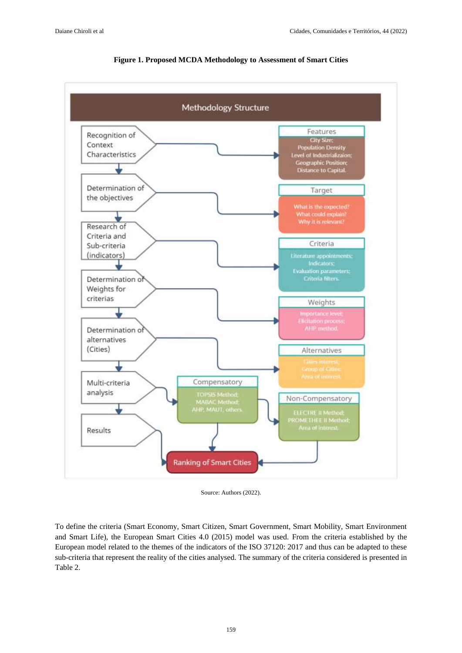

#### **Figure 1. Proposed MCDA Methodology to Assessment of Smart Cities**

Source: Authors (2022).

To define the criteria (Smart Economy, Smart Citizen, Smart Government, Smart Mobility, Smart Environment and Smart Life), the European Smart Cities 4.0 (2015) model was used. From the criteria established by the European model related to the themes of the indicators of the ISO 37120: 2017 and thus can be adapted to these sub-criteria that represent the reality of the cities analysed. The summary of the criteria considered is presented in Table 2.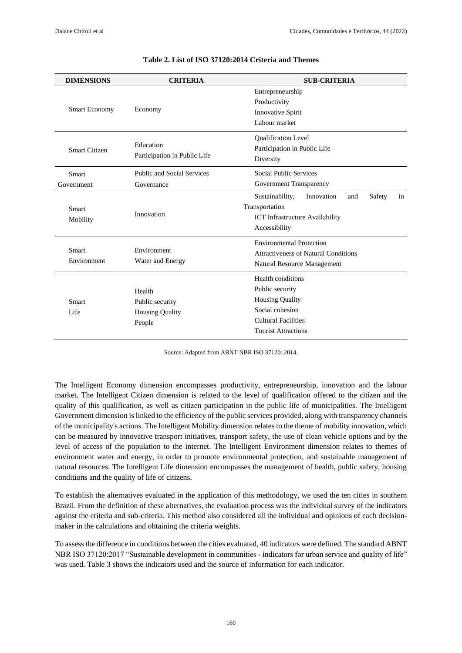|                             |                                                                                            | Entrepreneurship                                     |  |  |  |  |  |  |  |  |  |  |  |  |
|-----------------------------|--------------------------------------------------------------------------------------------|------------------------------------------------------|--|--|--|--|--|--|--|--|--|--|--|--|
|                             |                                                                                            | Productivity                                         |  |  |  |  |  |  |  |  |  |  |  |  |
| <b>Smart Economy</b>        | Economy                                                                                    | Innovative Spirit                                    |  |  |  |  |  |  |  |  |  |  |  |  |
|                             |                                                                                            | Labour market                                        |  |  |  |  |  |  |  |  |  |  |  |  |
|                             |                                                                                            | <b>Oualification Level</b>                           |  |  |  |  |  |  |  |  |  |  |  |  |
| Smart Citizen               | Education                                                                                  | Participation in Public Life                         |  |  |  |  |  |  |  |  |  |  |  |  |
|                             | Participation in Public Life                                                               | Diversity                                            |  |  |  |  |  |  |  |  |  |  |  |  |
| Smart                       | Public and Social Services                                                                 | <b>Social Public Services</b>                        |  |  |  |  |  |  |  |  |  |  |  |  |
| Government                  | Governance                                                                                 | Government Transparency                              |  |  |  |  |  |  |  |  |  |  |  |  |
|                             |                                                                                            | Sustainability,<br>Safety<br>Innovation<br>and<br>in |  |  |  |  |  |  |  |  |  |  |  |  |
| <b>Smart</b>                |                                                                                            | Transportation                                       |  |  |  |  |  |  |  |  |  |  |  |  |
| Mobility                    |                                                                                            | ICT Infrastructure Availability                      |  |  |  |  |  |  |  |  |  |  |  |  |
|                             |                                                                                            | Accessibility                                        |  |  |  |  |  |  |  |  |  |  |  |  |
|                             |                                                                                            | <b>Environmental Protection</b>                      |  |  |  |  |  |  |  |  |  |  |  |  |
|                             |                                                                                            | Attractiveness of Natural Conditions                 |  |  |  |  |  |  |  |  |  |  |  |  |
|                             |                                                                                            | Natural Resource Management                          |  |  |  |  |  |  |  |  |  |  |  |  |
|                             |                                                                                            | Health conditions                                    |  |  |  |  |  |  |  |  |  |  |  |  |
|                             | Health                                                                                     | Public security                                      |  |  |  |  |  |  |  |  |  |  |  |  |
| <b>Smart</b>                |                                                                                            | <b>Housing Quality</b>                               |  |  |  |  |  |  |  |  |  |  |  |  |
| Life                        |                                                                                            | Social cohesion                                      |  |  |  |  |  |  |  |  |  |  |  |  |
|                             | People                                                                                     | <b>Cultural Facilities</b>                           |  |  |  |  |  |  |  |  |  |  |  |  |
|                             |                                                                                            | <b>Tourist Attractions</b>                           |  |  |  |  |  |  |  |  |  |  |  |  |
| <b>Smart</b><br>Environment | Innovation<br>Environment<br>Water and Energy<br>Public security<br><b>Housing Quality</b> |                                                      |  |  |  |  |  |  |  |  |  |  |  |  |

#### **Table 2. List of ISO 37120:2014 Criteria and Themes**

Source: Adapted from ABNT NBR ISO 37120: 2014.

The Intelligent Economy dimension encompasses productivity, entrepreneurship, innovation and the labour market. The Intelligent Citizen dimension is related to the level of qualification offered to the citizen and the quality of this qualification, as well as citizen participation in the public life of municipalities. The Intelligent Government dimension is linked to the efficiency of the public services provided, along with transparency channels of the municipality's actions. The Intelligent Mobility dimension relates to the theme of mobility innovation, which can be measured by innovative transport initiatives, transport safety, the use of clean vehicle options and by the level of access of the population to the internet. The Intelligent Environment dimension relates to themes of environment water and energy, in order to promote environmental protection, and sustainable management of natural resources. The Intelligent Life dimension encompasses the management of health, public safety, housing conditions and the quality of life of citizens.

To establish the alternatives evaluated in the application of this methodology, we used the ten cities in southern Brazil. From the definition of these alternatives, the evaluation process was the individual survey of the indicators against the criteria and sub-criteria. This method also considered all the individual and opinions of each decisionmaker in the calculations and obtaining the criteria weights.

To assess the difference in conditions between the cities evaluated, 40 indicators were defined. The standard ABNT NBR ISO 37120:2017 "Sustainable development in communities - indicators for urban service and quality of life" was used. Table 3 shows the indicators used and the source of information for each indicator.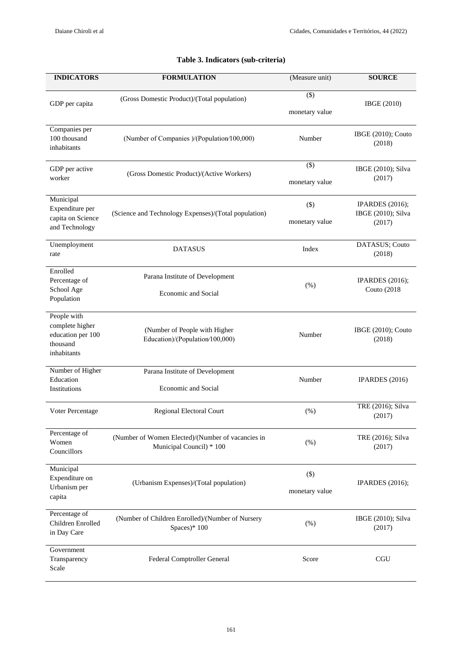| <b>INDICATORS</b>                                                              | <b>FORMULATION</b>                                                            | (Measure unit)            | <b>SOURCE</b>                                          |
|--------------------------------------------------------------------------------|-------------------------------------------------------------------------------|---------------------------|--------------------------------------------------------|
| GDP per capita                                                                 | (Gross Domestic Product)/(Total population)                                   | $(\$)$<br>monetary value  | <b>IBGE</b> (2010)                                     |
| Companies per<br>100 thousand<br>inhabitants                                   | (Number of Companies )/(Population/100,000)                                   | Number                    | IBGE (2010); Couto<br>(2018)                           |
| GDP per active<br>worker                                                       | (Gross Domestic Product)/(Active Workers)                                     | $($ \$)<br>monetary value | IBGE (2010); Silva<br>(2017)                           |
| Municipal<br>Expenditure per<br>capita on Science<br>and Technology            | (Science and Technology Expenses)/(Total population)                          | $($ \$)<br>monetary value | <b>IPARDES</b> (2016);<br>IBGE (2010); Silva<br>(2017) |
| Unemployment<br>rate                                                           | <b>DATASUS</b>                                                                | Index                     | DATASUS; Couto<br>(2018)                               |
| Enrolled<br>Percentage of<br>School Age<br>Population                          | Parana Institute of Development<br><b>Economic and Social</b>                 | $(\%)$                    | <b>IPARDES</b> (2016);<br><b>Couto (2018)</b>          |
| People with<br>complete higher<br>education per 100<br>thousand<br>inhabitants | (Number of People with Higher<br>Education)/(Population/100,000)              | Number                    | IBGE (2010); Couto<br>(2018)                           |
| Number of Higher<br>Education<br><b>Institutions</b>                           | Parana Institute of Development<br><b>Economic and Social</b>                 | Number                    | IPARDES (2016)                                         |
| Voter Percentage                                                               | <b>Regional Electoral Court</b>                                               | (% )                      | TRE (2016); Silva<br>(2017)                            |
| Percentage of<br>Women<br>Councillors                                          | (Number of Women Elected)/(Number of vacancies in<br>Municipal Council) * 100 | (% )                      | TRE (2016); Silva<br>(2017)                            |
| Municipal<br>Expenditure on<br>Urbanism per<br>capita                          | (Urbanism Expenses)/(Total population)                                        | $(\$)$<br>monetary value  | <b>IPARDES</b> (2016);                                 |
| Percentage of<br>Children Enrolled<br>in Day Care                              | (Number of Children Enrolled)/(Number of Nursery<br>Spaces)* 100              | $(\%)$                    | IBGE (2010); Silva<br>(2017)                           |
| Government<br>Transparency<br>Scale                                            | Federal Comptroller General                                                   | Score                     | <b>CGU</b>                                             |

## **Table 3. Indicators (sub-criteria)**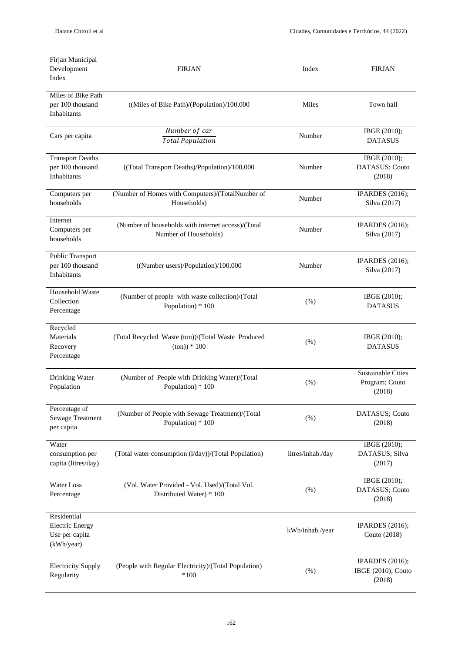| Firjan Municipal<br>Development<br>Index                              | <b>FIRJAN</b>                                                               | Index             | <b>FIRJAN</b>                                          |
|-----------------------------------------------------------------------|-----------------------------------------------------------------------------|-------------------|--------------------------------------------------------|
| Miles of Bike Path<br>per 100 thousand<br>Inhabitants                 | ((Miles of Bike Path)/(Population)/100,000                                  | Miles             | Town hall                                              |
| Cars per capita                                                       | Number of car                                                               | Number            | IBGE (2010);                                           |
|                                                                       | <b>Total Population</b>                                                     |                   | <b>DATASUS</b>                                         |
| <b>Transport Deaths</b><br>per 100 thousand<br>Inhabitants            | ((Total Transport Deaths)/Population)/100,000                               | Number            | IBGE (2010);<br>DATASUS; Couto<br>(2018)               |
| Computers per<br>households                                           | (Number of Homes with Computers)/(TotalNumber of<br>Households)             | Number            | <b>IPARDES</b> (2016);<br>Silva (2017)                 |
| Internet<br>Computers per<br>households                               | (Number of households with internet access)/(Total<br>Number of Households) | Number            | <b>IPARDES</b> (2016);<br>Silva (2017)                 |
| Public Transport<br>per 100 thousand<br>Inhabitants                   | ((Number users)/Population)/100,000                                         | Number            | <b>IPARDES</b> (2016);<br>Silva (2017)                 |
| Household Waste<br>Collection<br>Percentage                           | (Number of people with waste collection)/(Total<br>Population) * 100        | (% )              | IBGE (2010);<br><b>DATASUS</b>                         |
| Recycled<br>Materials<br>Recovery<br>Percentage                       | (Total Recycled Waste (ton))/(Total Waste Produced<br>$(ton)) * 100$        | $(\%)$            | IBGE (2010);<br><b>DATASUS</b>                         |
| Drinking Water<br>Population                                          | (Number of People with Drinking Water)/(Total<br>Population) * 100          | (% )              | <b>Sustainable Cities</b><br>Program; Couto<br>(2018)  |
| Percentage of<br><b>Sewage Treatment</b><br>per capita                | (Number of People with Sewage Treatment)/(Total<br>Population) * 100        | $(\% )$           | DATASUS; Couto<br>(2018)                               |
| Water<br>consumption per<br>capita (litres/day)                       | (Total water consumption (l/day))/(Total Population)                        | litres/inhab./day | IBGE (2010);<br>DATASUS; Silva<br>(2017)               |
| <b>Water Loss</b><br>Percentage                                       | (Vol. Water Provided - Vol. Used)/(Total Vol.<br>Distributed Water) * 100   | $(\%)$            | IBGE (2010);<br>DATASUS; Couto<br>(2018)               |
| Residential<br><b>Electric Energy</b><br>Use per capita<br>(kWh/year) |                                                                             | kWh/inhab./year   | <b>IPARDES</b> (2016);<br>Couto (2018)                 |
| <b>Electricity Supply</b><br>Regularity                               | (People with Regular Electricity)/(Total Population)<br>$*100$              | $(\%)$            | <b>IPARDES</b> (2016);<br>IBGE (2010); Couto<br>(2018) |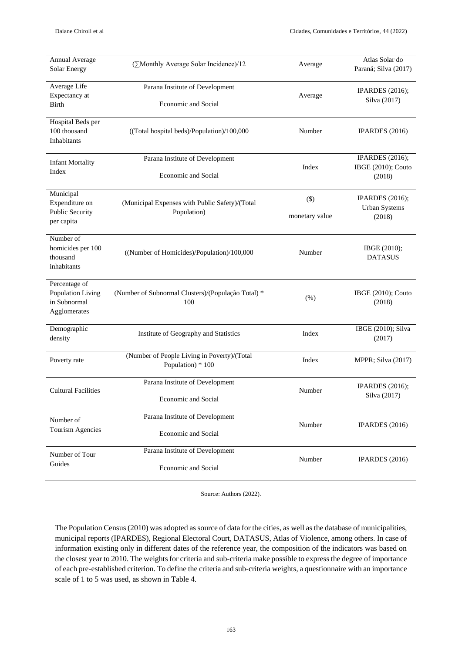| <b>Annual Average</b><br><b>Solar Energy</b>                        | (∑Monthly Average Solar Incidence)/12                            | Average                   | Atlas Solar do<br>Paraná; Silva (2017)                   |
|---------------------------------------------------------------------|------------------------------------------------------------------|---------------------------|----------------------------------------------------------|
| Average Life<br>Expectancy at<br><b>Birth</b>                       | Parana Institute of Development<br><b>Economic and Social</b>    | Average                   | <b>IPARDES</b> (2016);<br>Silva (2017)                   |
| Hospital Beds per<br>100 thousand<br>Inhabitants                    | ((Total hospital beds)/Population)/100,000                       | Number                    | IPARDES $(2016)$                                         |
| <b>Infant Mortality</b><br>Index                                    | Parana Institute of Development<br>Economic and Social           | Index                     | <b>IPARDES</b> (2016);<br>IBGE (2010); Couto<br>(2018)   |
| Municipal<br>Expenditure on<br><b>Public Security</b><br>per capita | (Municipal Expenses with Public Safety)/(Total<br>Population)    | $($ \$)<br>monetary value | <b>IPARDES</b> (2016);<br><b>Urban Systems</b><br>(2018) |
| Number of<br>homicides per 100<br>thousand<br>inhabitants           | ((Number of Homicides)/Population)/100,000                       | Number                    | IBGE (2010);<br><b>DATASUS</b>                           |
| Percentage of<br>Population Living<br>in Subnormal<br>Agglomerates  | (Number of Subnormal Clusters)/(População Total) *<br>100        | (% )                      | IBGE (2010); Couto<br>(2018)                             |
| Demographic<br>density                                              | Institute of Geography and Statistics                            | Index                     | IBGE (2010); Silva<br>(2017)                             |
| Poverty rate                                                        | (Number of People Living in Poverty)/(Total<br>Population) * 100 | Index                     | MPPR; Silva (2017)                                       |
| <b>Cultural Facilities</b>                                          | Parana Institute of Development<br>Economic and Social           | Number                    | <b>IPARDES</b> (2016);<br>Silva (2017)                   |
| Number of<br>Tourism Agencies                                       | Parana Institute of Development<br><b>Economic and Social</b>    | Number                    | IPARDES (2016)                                           |
| Number of Tour<br>Guides                                            | Parana Institute of Development<br><b>Economic and Social</b>    | Number                    | IPARDES (2016)                                           |

Source: Authors (2022).

The Population Census (2010) was adopted as source of data for the cities, as well as the database of municipalities, municipal reports (IPARDES), Regional Electoral Court, DATASUS, Atlas of Violence, among others. In case of information existing only in different dates of the reference year, the composition of the indicators was based on the closest year to 2010. The weights for criteria and sub-criteria make possible to express the degree of importance of each pre-established criterion. To define the criteria and sub-criteria weights, a questionnaire with an importance scale of 1 to 5 was used, as shown in Table 4.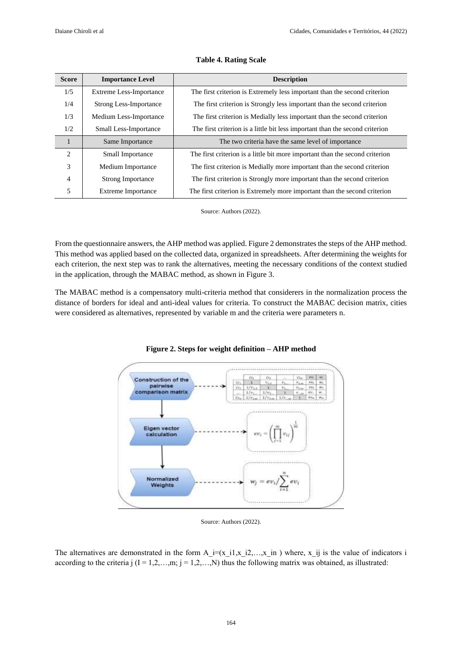| <b>Score</b>   | <b>Importance Level</b>        | <b>Description</b>                                                           |
|----------------|--------------------------------|------------------------------------------------------------------------------|
| 1/5            | <b>Extreme Less-Importance</b> | The first criterion is Extremely less important than the second criterion    |
| 1/4            | <b>Strong Less-Importance</b>  | The first criterion is Strongly less important than the second criterion     |
| 1/3            | Medium Less-Importance         | The first criterion is Medially less important than the second criterion     |
| 1/2            | Small Less-Importance          | The first criterion is a little bit less important than the second criterion |
|                | Same Importance                | The two criteria have the same level of importance                           |
| 2              | Small Importance               | The first criterion is a little bit more important than the second criterion |
| 3              | Medium Importance              | The first criterion is Medially more important than the second criterion     |
| $\overline{4}$ | <b>Strong Importance</b>       | The first criterion is Strongly more important than the second criterion     |
| 5              | Extreme Importance             | The first criterion is Extremely more important than the second criterion    |

#### **Table 4. Rating Scale**

Source: Authors (2022).

From the questionnaire answers, the AHP method was applied. Figure 2 demonstrates the steps of the AHP method. This method was applied based on the collected data, organized in spreadsheets. After determining the weights for each criterion, the next step was to rank the alternatives, meeting the necessary conditions of the context studied in the application, through the MABAC method, as shown in Figure 3.

The MABAC method is a compensatory multi-criteria method that considerers in the normalization process the distance of borders for ideal and anti-ideal values for criteria. To construct the MABAC decision matrix, cities were considered as alternatives, represented by variable m and the criteria were parameters n.



**Figure 2. Steps for weight definition – AHP method**

Source: Authors (2022).

The alternatives are demonstrated in the form  $A_i=(x_i, x_i, x_i, x_i)$  where,  $x_i$  is the value of indicators i according to the criteria j  $(I = 1,2,...,m; j = 1,2,...,N)$  thus the following matrix was obtained, as illustrated: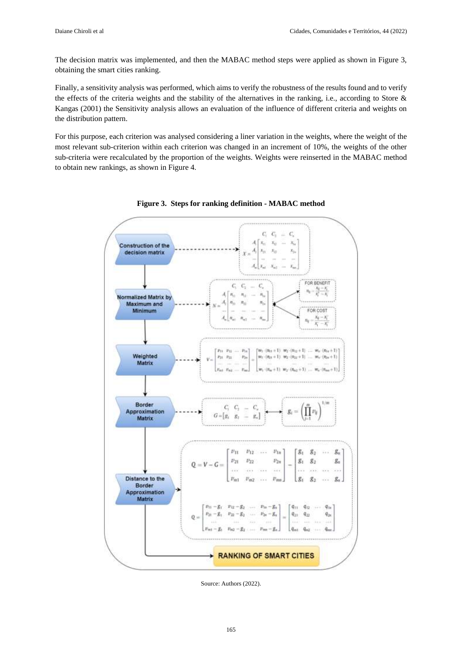The decision matrix was implemented, and then the MABAC method steps were applied as shown in Figure 3, obtaining the smart cities ranking.

Finally, a sensitivity analysis was performed, which aims to verify the robustness of the results found and to verify the effects of the criteria weights and the stability of the alternatives in the ranking, i.e., according to Store & Kangas (2001) the Sensitivity analysis allows an evaluation of the influence of different criteria and weights on the distribution pattern.

For this purpose, each criterion was analysed considering a liner variation in the weights, where the weight of the most relevant sub-criterion within each criterion was changed in an increment of 10%, the weights of the other sub-criteria were recalculated by the proportion of the weights. Weights were reinserted in the MABAC method to obtain new rankings, as shown in Figure 4.



**Figure 3. Steps for ranking definition - MABAC method**

Source: Authors (2022).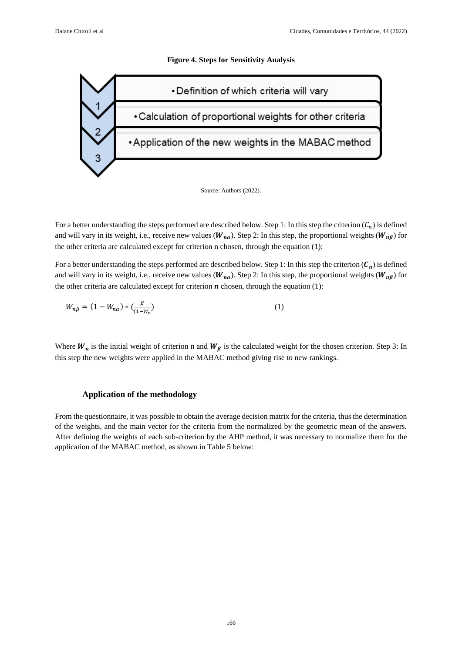#### **Figure 4. Steps for Sensitivity Analysis**



Source: Authors (2022).

For a better understanding the steps performed are described below. Step 1: In this step the criterion  $(C_n)$  is defined and will vary in its weight, i.e., receive new values  $(W_{n\alpha})$ . Step 2: In this step, the proportional weights  $(W_{n\beta})$  for the other criteria are calculated except for criterion n chosen, through the equation (1):

For a better understanding the steps performed are described below. Step 1: In this step the criterion  $(C_n)$  is defined and will vary in its weight, i.e., receive new values ( $W_{na}$ ). Step 2: In this step, the proportional weights ( $W_{na}$ ) for the other criteria are calculated except for criterion  $n$  chosen, through the equation  $(1)$ :

$$
W_{n\beta} = (1 - W_{n\alpha}) \cdot \left(\frac{\beta}{(1 - W_n)}\right) \tag{1}
$$

Where  $W_n$  is the initial weight of criterion n and  $W_\beta$  is the calculated weight for the chosen criterion. Step 3: In this step the new weights were applied in the MABAC method giving rise to new rankings.

### **Application of the methodology**

From the questionnaire, it was possible to obtain the average decision matrix for the criteria, thus the determination of the weights, and the main vector for the criteria from the normalized by the geometric mean of the answers. After defining the weights of each sub-criterion by the AHP method, it was necessary to normalize them for the application of the MABAC method, as shown in Table 5 below: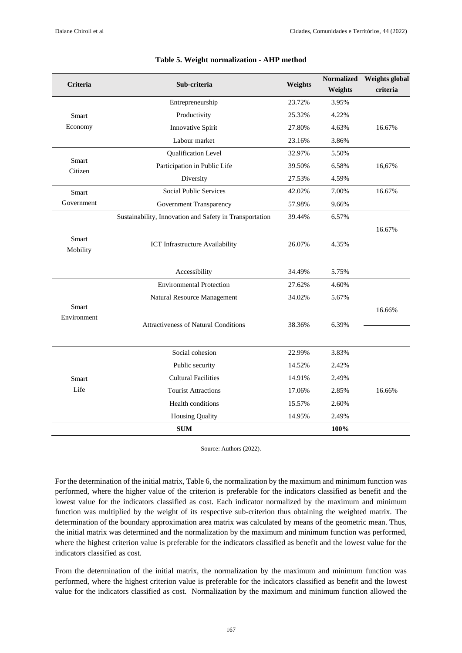| <b>Criteria</b>             | Sub-criteria                                            | Weights | <b>Normalized</b><br>Weights | <b>Weights global</b><br>criteria |
|-----------------------------|---------------------------------------------------------|---------|------------------------------|-----------------------------------|
|                             | Entrepreneurship                                        | 23.72%  | 3.95%                        |                                   |
| Smart                       | Productivity                                            | 25.32%  | 4.22%                        |                                   |
| Economy                     | Innovative Spirit                                       | 27.80%  | 4.63%                        | 16.67%                            |
|                             | Labour market                                           | 23.16%  | 3.86%                        |                                   |
|                             | Qualification Level                                     | 32.97%  | 5.50%                        |                                   |
| Smart<br>Citizen            | Participation in Public Life                            | 39.50%  | 6.58%                        | 16,67%                            |
|                             | Diversity                                               | 27.53%  | 4.59%                        |                                   |
| Smart                       | Social Public Services                                  | 42.02%  | 7.00%                        | 16.67%                            |
| Government                  | Government Transparency                                 | 57.98%  | 9.66%                        |                                   |
|                             | Sustainability, Innovation and Safety in Transportation | 39.44%  | 6.57%                        |                                   |
| Smart<br>Mobility           | ICT Infrastructure Availability                         | 26.07%  | 4.35%                        | 16.67%                            |
|                             | Accessibility                                           | 34.49%  | 5.75%                        |                                   |
|                             | <b>Environmental Protection</b>                         | 27.62%  | 4.60%                        |                                   |
|                             | Natural Resource Management                             | 34.02%  | 5.67%                        |                                   |
| <b>Smart</b><br>Environment | <b>Attractiveness of Natural Conditions</b>             | 38.36%  | 6.39%                        | 16.66%                            |
|                             | Social cohesion                                         | 22.99%  | 3.83%                        |                                   |
|                             | Public security                                         | 14.52%  | 2.42%                        |                                   |
| Smart                       | <b>Cultural Facilities</b>                              | 14.91%  | 2.49%                        |                                   |
| Life                        | <b>Tourist Attractions</b>                              | 17.06%  | 2.85%                        | 16.66%                            |
|                             | Health conditions                                       | 15.57%  | 2.60%                        |                                   |
|                             | <b>Housing Quality</b>                                  | 14.95%  | 2.49%                        |                                   |
|                             | <b>SUM</b>                                              |         | 100%                         |                                   |

#### **Table 5. Weight normalization - AHP method**

Source: Authors (2022).

For the determination of the initial matrix, Table 6, the normalization by the maximum and minimum function was performed, where the higher value of the criterion is preferable for the indicators classified as benefit and the lowest value for the indicators classified as cost. Each indicator normalized by the maximum and minimum function was multiplied by the weight of its respective sub-criterion thus obtaining the weighted matrix. The determination of the boundary approximation area matrix was calculated by means of the geometric mean. Thus, the initial matrix was determined and the normalization by the maximum and minimum function was performed, where the highest criterion value is preferable for the indicators classified as benefit and the lowest value for the indicators classified as cost.

From the determination of the initial matrix, the normalization by the maximum and minimum function was performed, where the highest criterion value is preferable for the indicators classified as benefit and the lowest value for the indicators classified as cost. Normalization by the maximum and minimum function allowed the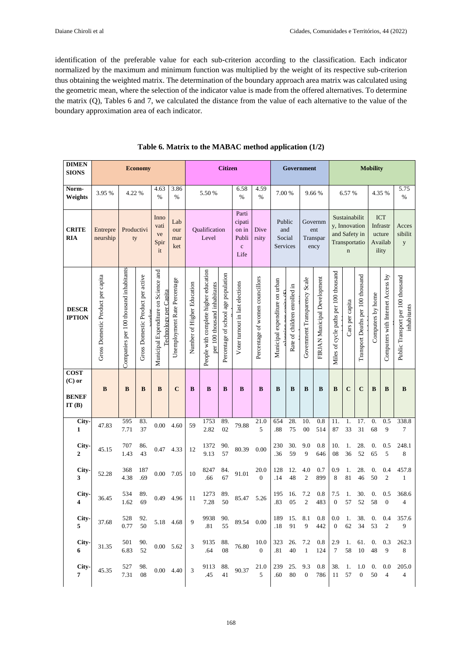identification of the preferable value for each sub-criterion according to the classification. Each indicator normalized by the maximum and minimum function was multiplied by the weight of its respective sub-criterion thus obtaining the weighted matrix. The determination of the boundary approach area matrix was calculated using the geometric mean, where the selection of the indicator value is made from the offered alternatives. To determine the matrix (Q), Tables 6 and 7, we calculated the distance from the value of each alternative to the value of the boundary approximation area of each indicator.

| <b>DIMEN</b><br><b>SIONS</b>  |                                   |                                                                                  | <b>Economy</b>                    |                                                               |                              |                            |                                                                       | <b>Citizen</b>                      |                                 |                                     |                                |                              | Government                    |                                    | <b>Mobility</b>                       |                                                                                 |                                   |                                                      |                                   |                                                  |  |  |
|-------------------------------|-----------------------------------|----------------------------------------------------------------------------------|-----------------------------------|---------------------------------------------------------------|------------------------------|----------------------------|-----------------------------------------------------------------------|-------------------------------------|---------------------------------|-------------------------------------|--------------------------------|------------------------------|-------------------------------|------------------------------------|---------------------------------------|---------------------------------------------------------------------------------|-----------------------------------|------------------------------------------------------|-----------------------------------|--------------------------------------------------|--|--|
| Norm-<br>Weights              | 3.95 %                            | 4.22 %                                                                           |                                   | 4.63<br>$\%$                                                  | 3.86<br>$\%$                 |                            | 5.50 %                                                                |                                     | 6.58<br>%                       | 4.59<br>$\%$                        | 7.00 %                         |                              |                               | 9.66%                              |                                       | 6.57%                                                                           |                                   | 4.35 %                                               |                                   | 5.75<br>%                                        |  |  |
| <b>CRITE</b><br>RIA           | Entrepre<br>neurship              | Inno<br>Lab<br>vati<br>Productivi<br>our<br>ve<br>ty<br>mar<br>Spir<br>ket<br>it |                                   | Qualification<br>Level                                        |                              |                            | Parti<br>cipati<br>on in<br>Publi<br>$\mathbf c$<br>Life              | Dive<br>rsity                       |                                 | Public<br>and<br>Social<br>Services |                                |                              |                               | Governm<br>ent<br>Transpar<br>ency |                                       | Sustainabilit<br>y, Innovation<br>and Safety in<br>Transportatio<br>$\mathbf n$ |                                   | <b>ICT</b><br>Infrastr<br>ucture<br>Availab<br>ility |                                   | Acces<br>sibilit<br>y                            |  |  |
| <b>DESCR</b><br><b>IPTION</b> | Gross Domestic Product per capita | Companies per 100 thousand inhabitants                                           | Gross Domestic Product per active | Municipal Expenditure on Science and<br>Technology per Capita | Unemployment Rate Percentage | Number of Higher Education | People with complete higher education<br>per 100 thousand inhabitants | Percentage of school age population | Voter turnout in last elections | Percentage of women councillors     | Municipal expenditure on urban | Rate of children enrolled in | Government Transparency Scale | FIRJAN Municipal Development       | Miles of cycle paths per 100 thousand | Cars per capita                                                                 | Transport Deaths per 100 thousand | Computers by home                                    | Computers with Internet Access by | Public Transport per 100 thousand<br>inhabitants |  |  |
| <b>COST</b><br>$(C)$ or       | $\bf{B}$                          | B                                                                                | B                                 | B                                                             | $\mathbf C$                  | B                          | B                                                                     | B                                   | B                               | B                                   | B                              | B                            | B                             | B                                  | B                                     | $\mathbf C$                                                                     | $\mathbf C$                       | B                                                    | B                                 | $\bf{B}$                                         |  |  |
| <b>BENEF</b><br>IT(B)         |                                   |                                                                                  |                                   |                                                               |                              |                            |                                                                       |                                     |                                 |                                     |                                |                              |                               |                                    |                                       |                                                                                 |                                   |                                                      |                                   |                                                  |  |  |
| City-<br>$\mathbf{1}$         | 47.83                             | 595<br>7.71                                                                      | 83.<br>37                         | 0.00                                                          | 4.60                         | 59                         | 1753<br>2.82                                                          | 89.<br>02                           | 79.88                           | 21.0<br>5                           | 654<br>.88                     | 28.<br>75                    | 10.<br>${\bf 00}$             | $0.8\,$<br>514                     | 11.<br>87                             | 1.<br>33                                                                        | 17.<br>31                         | $\overline{0}$ .<br>68                               | 0.5<br>9                          | 338.8<br>7                                       |  |  |
| City-<br>$\overline{2}$       | 45.15                             | 707<br>1.43                                                                      | 86.<br>43                         | 0.47                                                          | 4.33                         | 12                         | 1372<br>9.13                                                          | 90.<br>57                           | 80.39                           | 0.00                                | 230<br>.36                     | 30.<br>59                    | 9.0<br>9                      | 0.8<br>646                         | 10.<br>08                             | 1.<br>36                                                                        | 28.<br>52                         | 0.<br>65                                             | 0.5<br>5                          | 248.1<br>$\,$ 8 $\,$                             |  |  |
| City-<br>3                    | 52.28                             | 368<br>4.38                                                                      | 187<br>.69                        | 0.00                                                          | 7.05                         | 10                         | 8247<br>.66                                                           | 84.<br>67                           | 91.01                           | 20.0<br>$\Omega$                    | 128<br>.14                     | 12.<br>48                    | 4.0<br>$\mathfrak{2}$         | 0.7<br>899                         | 0.9<br>8                              | 1.<br>81                                                                        | 28.<br>46                         | 0.<br>50                                             | 0.4<br>$\overline{c}$             | 457.8<br>$\mathbf{1}$                            |  |  |
| City-<br>4                    | 36.45                             | 534<br>1.62                                                                      | 89.<br>69                         | 0.49                                                          | 4.96                         | 11                         | 1273<br>7.28                                                          | 89.<br>50                           | 85.47                           | 5.26                                | 195<br>.83                     | 16.<br>05                    | 7.2<br>$\overline{2}$         | 0.8<br>483                         | 7.5<br>$\boldsymbol{0}$               | 1.<br>57                                                                        | 30.<br>52                         | 0.<br>58                                             | 0.5<br>$\mathbf{0}$               | 368.6<br>4                                       |  |  |
| City-<br>5                    | 37.68                             | 528<br>0.77                                                                      | 92.<br>50                         | 5.18 4.68                                                     |                              | 9                          | 9938<br>.81                                                           | 90.<br>55                           | 89.54 0.00                      |                                     | .18                            | 189 15.<br>91                | 8.1<br>9                      | 0.8<br>442                         | $0.0\,$<br>$\boldsymbol{0}$           | 1.<br>62                                                                        | 38.<br>34                         | 0.<br>53                                             | 0.4<br>$\overline{2}$             | 357.6<br>9                                       |  |  |
| City-<br>6                    | 31.35                             | 501<br>6.83                                                                      | 90.<br>52                         | $0.00$ 5.62                                                   |                              | 3                          | 9135<br>.64                                                           | 88.<br>08                           | 76.80                           | 10.0<br>$\theta$                    | 323<br>.81                     | 26.<br>40                    | 7.2<br>$\mathbf{1}$           | 0.8<br>124                         | 2.9<br>7                              | 1.<br>58                                                                        | 61.<br>10                         | 0.<br>48                                             | 0.3<br>9                          | 262.3<br>8                                       |  |  |
| City-<br>7                    | 45.35                             | 527<br>7.31                                                                      | 98.<br>08                         | $0.00 \quad 4.40$                                             |                              | 3                          | 9113<br>.45                                                           | 88.<br>41                           | 90.37                           | 21.0<br>5                           | 239<br>.60                     | 25.<br>80                    | 9.3<br>$\mathbf{0}$           | 0.8<br>786                         | 38.<br>11                             | 1.<br>57                                                                        | 1.0<br>$\mathbf{0}$               | 0.<br>50                                             | 0.0<br>$\overline{4}$             | 205.0<br>$\overline{4}$                          |  |  |

## **Table 6. Matrix to the MABAC method application (1/2)**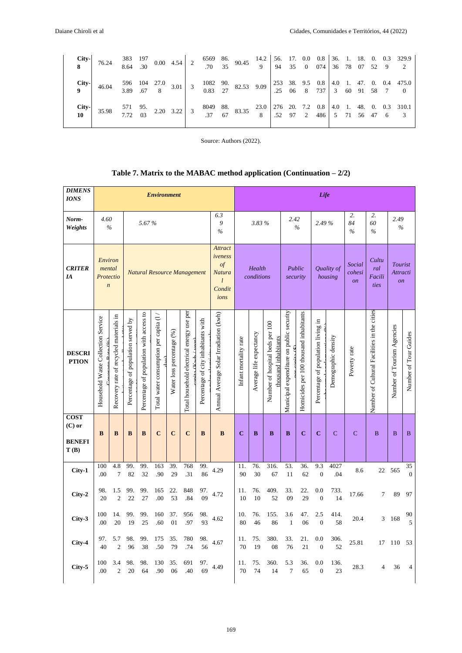|                            | <b>City-</b> 76.24 $\begin{array}{c cccccc} 383 & 197 & 0.00 & 4.54 & 2 & 6569 & 86. & 90.45 & 14.2 & 56. & 17. & 0.0 & 0.8 & 36. & 1. & 18. & 0. & 0.3 & 329.9 \\ \hline \end{array}$ |  |  |  |                                                                                                                                                                                                                                                                                        |  |  |  |  |  |                                                                                                                                                                                                                                              |
|----------------------------|----------------------------------------------------------------------------------------------------------------------------------------------------------------------------------------|--|--|--|----------------------------------------------------------------------------------------------------------------------------------------------------------------------------------------------------------------------------------------------------------------------------------------|--|--|--|--|--|----------------------------------------------------------------------------------------------------------------------------------------------------------------------------------------------------------------------------------------------|
|                            | City-<br>9 $46.04$                                                                                                                                                                     |  |  |  |                                                                                                                                                                                                                                                                                        |  |  |  |  |  | $\begin{array}{c cccccc} 596 & 104 & 27.0 & 3.01 & 3 & 1082 & 90 & 253 & 38 & 9.5 & 0.8 & 4.0 & 1 & 47 & 0 & 0.4 & 475.0 \\ 3.89 & .67 & 8 & 3.01 & 3 & 0.83 & 27 & 82.53 & 9.09 & 25 & 06 & 8 & 737 & 3 & 60 & 91 & 58 & 7 & 0 \end{array}$ |
| $City-$<br>10 <sup>°</sup> | 35.98                                                                                                                                                                                  |  |  |  | 571 95. 2.20 3.22 3 8049 88. 83.35 $\begin{array}{c cccccc} 3.30 & 2.70 & 2.20 & 3.22 \\ 3.37 & 67 & 8.335 & 8.35 \end{array}$ $\begin{array}{c cccccc} 23.0 & 276 & 20 & 7.2 & 0.8 & 4.0 & 1. & 48. & 0. & 0.3 & 310.1 \\ 0.52 & 97 & 2 & 486 & 5 & 71 & 56 & 47 & 6 & 3 \end{array}$ |  |  |  |  |  |                                                                                                                                                                                                                                              |

Source: Authors (2022).

| Table 7. Matrix to the MABAC method application (Continuation $-2/2$ ) |  |  |
|------------------------------------------------------------------------|--|--|
|------------------------------------------------------------------------|--|--|

| <b>DIMENS</b><br><b>IONS</b>                     |                                                    |                                        |                                    |                                         | <b>Environment</b>                     |                           |                                           |                                     |                                                                       | Life                  |                                                            |            |                                          |                                        |                                    |                       |                                     |                                             |                                        |                       |  |
|--------------------------------------------------|----------------------------------------------------|----------------------------------------|------------------------------------|-----------------------------------------|----------------------------------------|---------------------------|-------------------------------------------|-------------------------------------|-----------------------------------------------------------------------|-----------------------|------------------------------------------------------------|------------|------------------------------------------|----------------------------------------|------------------------------------|-----------------------|-------------------------------------|---------------------------------------------|----------------------------------------|-----------------------|--|
| Norm-<br>Weights                                 | 4.60                                               | $\frac{0}{0}$                          |                                    | 5.67%                                   |                                        |                           |                                           |                                     | 6.3<br>9<br>$\%$                                                      |                       | 3.83%                                                      |            |                                          | 2.42<br>$\frac{6}{6}$                  | 2.49 %                             |                       | 2.<br>84<br>$\frac{0}{0}$           | 2.<br>60<br>$\frac{0}{0}$                   | 2.49<br>$\%$                           |                       |  |
| <b>CRITER</b><br>IA                              | Environ<br>mental<br>Protectio<br>$\boldsymbol{n}$ |                                        |                                    |                                         |                                        |                           | <b>Natural Resource Management</b>        |                                     | <b>Attract</b><br>iveness<br>$\iota$<br>Natura<br>l<br>Condit<br>ions |                       | Health<br>conditions                                       |            |                                          | Public<br>security                     |                                    | Quality of<br>housing | Social<br>cohesi<br>$\overline{on}$ | Cultu<br>ral<br>Facili<br>ties              | Tourist<br>Attracti<br>$\overline{on}$ |                       |  |
| <b>DESCRI</b><br><b>PTION</b>                    | Household Waste Collection Service                 | Recovery rate of recycled materials in | Percentage of population served by | Percentage of population with access to | Total water consumption per capita (1/ | Water loss percentage (%) | Total household electrical energy use per | Percentage of city inhabitants with | Annual Average Solar Irradiation (kwh)                                | Infant mortality rate | Number of hospital beds per 100<br>Average life expectancy |            | Municipal expenditure on public security | Homicides per 100 thousand inhabitants | Percentage of population living in | Demographic density   | Poverty rate                        | Number of Cultural Facilities in the cities | Number of Tourism Agencies             | Number of Tour Guides |  |
| <b>COST</b><br>$(C)$ or<br><b>BENEFI</b><br>T(B) | $\bf{B}$                                           | B                                      | B                                  | $\bf{B}$                                | $\mathbf C$                            | $\mathbf C$               | $\mathbf C$                               | $\bf{B}$                            | B                                                                     | $\mathbf C$           | B                                                          | B          | $\bf{B}$                                 | $\mathbf C$                            | $\overline{\mathbf{C}}$            | $\overline{C}$        | $\overline{C}$                      | B                                           | B                                      | B                     |  |
| City-1                                           | 100<br>.00                                         | 4.8<br>7                               | 99.<br>82                          | 99.<br>32                               | 163<br>.90                             | 39.<br>29                 | 768<br>.31                                | 99.<br>86                           | 4.29                                                                  | 11.<br>90             | 76.<br>30                                                  | 316.<br>67 | 53.<br>11                                | 36.<br>62                              | 9.3<br>$\boldsymbol{0}$            | 4027<br>.04           | 8.6                                 | 22                                          | 565                                    | 35<br>$\Omega$        |  |
| City-2                                           | 98.<br>20                                          | 1.5<br>$\overline{c}$                  | 99.<br>22                          | 99.<br>27                               | 165<br>.00                             | 22.<br>53                 | 848<br>.84                                | 97.<br>09                           | 4.72                                                                  | 11.<br>10             | 76.<br>10                                                  | 409.<br>52 | 33.<br>09                                | 22.<br>29                              | 0.0<br>$\overline{0}$              | 733.<br>14            | 17.66                               | 7                                           | 89                                     | 97                    |  |
| City-3                                           | 100<br>.00                                         | 14.<br>20                              | 99.<br>19                          | 99.<br>25                               | 160<br>.60                             | 37.<br>01                 | 956<br>.97                                | 98.<br>93                           | 4.62                                                                  | 10.<br>80             | 76.<br>46                                                  | 155.<br>86 | 3.6<br>$\mathbf{1}$                      | 47.<br>06                              | 2.5<br>$\mathbf{0}$                | 414.<br>58            | 20.4                                | 3                                           | 168                                    | 90<br>$\overline{5}$  |  |
| City-4                                           | 97.<br>40                                          | 5.7<br>$\mathfrak{2}$                  | 98.<br>96                          | 99.<br>38                               | 175<br>.50                             | 35.<br>79                 | 780<br>.74                                | 98.<br>56                           | 4.67                                                                  | 11.<br>70             | 75.<br>19                                                  | 380.<br>08 | 33.<br>76                                | 21.<br>21                              | 0.0<br>$\boldsymbol{0}$            | 306.<br>52            | 25.81                               | 17                                          | 110                                    | 53                    |  |
| $City-5$                                         | 100<br>.00                                         | 3.4<br>$\overline{2}$                  | 98.<br>20                          | 98.<br>64                               | 130<br>.90                             | 35.<br>06                 | 691<br>.40                                | 97.<br>69                           | 4.49                                                                  | 11.<br>70             | 75.<br>74                                                  | 360.<br>14 | 5.3<br>7                                 | 36.<br>65                              | 0.0<br>$\overline{0}$              | 136.<br>23            | 28.3                                | 4                                           | 36                                     | 4                     |  |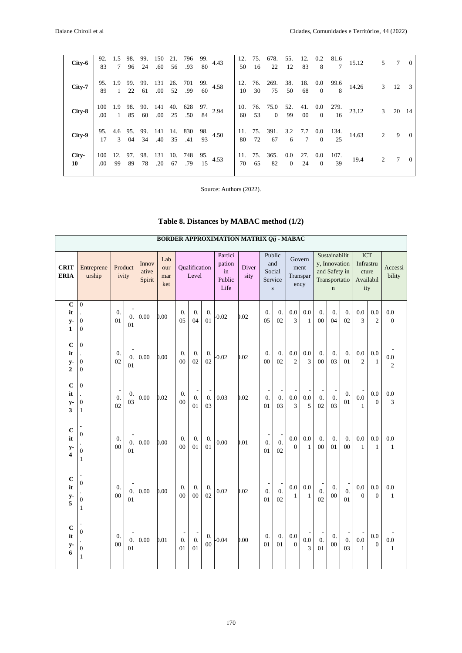| $City-6$           |  |  |  |                                                                                                                                      | 92. 1.5 98. 99. 150 21. 796 99. 4.43<br>83 7 96 24 .60 56 .93 80 4.43 |  |                                             |  |            | 12. 75. 678. 55. 12. 0.2 81.6<br>50 16 22 12 83 8 7 15.12       |                | 5 7          | $\overline{0}$ |
|--------------------|--|--|--|--------------------------------------------------------------------------------------------------------------------------------------|-----------------------------------------------------------------------|--|---------------------------------------------|--|------------|-----------------------------------------------------------------|----------------|--------------|----------------|
| City-7             |  |  |  | $\begin{array}{cccccc} 95. & 1.9 & 99. & 99. & 131 & 26. & 701 & 99. & 4.58 \\ 89 & 1 & 22 & 61 & .00 & 52 & .99 & 60 \end{array}$   |                                                                       |  |                                             |  |            | 12. 76. 269. 38. 18. 0.0 99.6 14.26<br>10 30 75 50 68 0 8 14.26 |                | $3 \t12 \t3$ |                |
| City-8             |  |  |  | $\begin{array}{cccccc} 100 & 1.9 & 98. & 90. & 141 & 40. & 628 & 97. \\ .00 & 1 & 85 & 60 & .00 & 25 & .50 & 84 & ^2.94 \end{array}$ |                                                                       |  |                                             |  |            | 10. 76. 75.0 52. 41. 0.0 279.<br>60 53 0 99 00 0 16 23.12       | $\mathfrak{Z}$ |              | 20 14          |
| City-9             |  |  |  | 95. 4.6 95. 99. 141 14. 830 98. 4.50<br>17 3 04 34 .40 35 .41 93 4.50                                                                |                                                                       |  |                                             |  |            | 11. 75. 391. 3.2 7.7 0.0 134.<br>80 72 67 6 7 0 25 14.63        | $\overline{2}$ |              | $9 \quad 0$    |
| City-<br>$10^{-7}$ |  |  |  | .00 99 89 78 .20 67 .79 15                                                                                                           | 100 12. 97. 98. 131 10. 748 95. 4.53                                  |  | 11. 75. 365. 0.0 27. 0.0<br>70 65 82 0 24 0 |  | 107.<br>39 | 19.4                                                            | 2              |              | $\theta$       |

Source: Authors (2022).

|  | Table 8. Distances by MABAC method (1/2) |  |  |  |  |  |  |
|--|------------------------------------------|--|--|--|--|--|--|
|--|------------------------------------------|--|--|--|--|--|--|

|                                                      | <b>BORDER APPROXIMATION MATRIX Qij - MABAC</b>         |                        |                                                  |                          |                          |                                          |                                          |                  |                                           |               |                                                    |                                    |                       |                     |                                                    |                                                                                  |                        |                       |                                 |                       |
|------------------------------------------------------|--------------------------------------------------------|------------------------|--------------------------------------------------|--------------------------|--------------------------|------------------------------------------|------------------------------------------|------------------|-------------------------------------------|---------------|----------------------------------------------------|------------------------------------|-----------------------|---------------------|----------------------------------------------------|----------------------------------------------------------------------------------|------------------------|-----------------------|---------------------------------|-----------------------|
| <b>CRIT</b><br><b>ERIA</b>                           | Entreprene<br>urship                                   | ivity                  | Product                                          | Innov<br>ative<br>Spirit | Lab<br>our<br>mar<br>ket |                                          | Qualification<br>Level                   |                  | Partici<br>pation<br>in<br>Public<br>Life | Diver<br>sity | Public<br>Social<br>Service                        | and<br>$\mathbf S$                 | Govern<br>Transpar    | ment<br>ency        |                                                    | Sustainabilit<br>y, Innovation<br>and Safety in<br>Transportatio<br>$\mathbf{n}$ |                        | <b>ICT</b><br>ity     | Infrastru<br>cture<br>Availabil | Accessi<br>bility     |
| $\overline{c}$<br>it<br>$y-$<br>1                    | $\overline{0}$<br>$\boldsymbol{0}$<br>$\boldsymbol{0}$ | $\overline{0}$ .<br>01 | 0.<br>01                                         | 0.00                     | 0.00                     | $\overline{0}$ .<br>0.5                  | $\overline{0}$ .<br>04                   | 0.<br>01         | $-0.02$                                   | 0.02          | $\overline{0}$ .<br>0.5                            | $\overline{0}$ .<br>0 <sub>2</sub> | 0.0<br>3              | 0.0<br>$\mathbf{1}$ | $\overline{0}$ .<br>0 <sub>0</sub>                 | $\overline{0}$ .<br>04                                                           | $\overline{0}$ .<br>02 | 0.0<br>3              | 0.0<br>$\overline{2}$           | 0.0<br>$\Omega$       |
| $\mathbf C$<br>it<br>$y-$<br>$\overline{2}$          | $\boldsymbol{0}$<br>$\boldsymbol{0}$<br>$\mathbf{0}$   | 0.<br>0 <sub>2</sub>   | $\overline{0}$ .<br>01                           | 0.00                     | 0.00                     | $\overline{0}$ .<br>0 <sub>0</sub>       | $\overline{0}$ .<br>0 <sub>2</sub>       | $\theta$ .<br>02 | 0.02                                      | 0.02          | $\overline{0}$ .<br>0 <sub>0</sub>                 | $\theta$ .<br>02                   | 0.0<br>$\overline{c}$ | 0.0<br>3            | $\overline{0}$ .<br>0 <sub>0</sub>                 | $\overline{0}$ .<br>03                                                           | $\theta$ .<br>01       | 0.0<br>$\overline{c}$ | 0.0<br>$\mathbf{1}$             | $0.0\,$<br>$\sqrt{2}$ |
| $\mathbf C$<br>it<br>$y-$<br>3                       | $\boldsymbol{0}$<br>$\boldsymbol{0}$<br>$\mathbf{1}$   | $\overline{0}$ .<br>02 | 0.<br>03                                         | 0.00                     | 0.02                     | $\overline{0}$ .<br>0 <sub>0</sub>       | $\overline{a}$<br>$\overline{0}$ .<br>01 | 0.<br>03         | 0.03                                      | 0.02          | $\frac{1}{2}$<br>$\overline{0}$ .<br>01            | $\overline{0}$ .<br>03             | $0.0\,$<br>3          | 0.0<br>5            | $\overline{0}$ .<br>02                             | ÷<br>$\overline{0}$ .<br>03                                                      | $\overline{0}$ .<br>01 | 0.0<br>$\mathbf{1}$   | 0.0<br>$\Omega$                 | 0.0<br>3              |
| $\mathbf C$<br>it<br>$y-$<br>$\overline{\mathbf{4}}$ | $\boldsymbol{0}$<br>$\boldsymbol{0}$<br>$\mathbf{1}$   | 0.<br>00               | 0.<br>01                                         | 0.00                     | 0.00                     | $\overline{0}$ .<br>0 <sub>0</sub>       | 0.<br>01                                 | $\theta$ .<br>01 | 0.00                                      | 0.01          | $\overline{a}$<br>$\overline{0}$ .<br>01           | $\overline{0}$ .<br>02             | 0.0<br>$\theta$       | 0.0<br>$\mathbf{1}$ | $\overline{0}$ .<br>00                             | $\overline{0}$ .<br>01                                                           | 0.<br>00               | 0.0<br>$\mathbf{1}$   | 0.0<br>$\mathbf{1}$             | 0.0<br>$\mathbf{1}$   |
| $\mathbf C$<br>it<br>$y-$<br>5                       | $\boldsymbol{0}$<br>$\boldsymbol{0}$<br>$\mathbf{1}$   | 0.<br>0 <sup>0</sup>   | $\overline{a}$<br>$\overline{0}$ .<br>01         | 0.00                     | 0.00                     | $\overline{0}$ .<br>0 <sub>0</sub>       | 0.<br>$00\,$                             | $\theta$ .<br>02 | 0.02                                      | 0.02          | $\overline{\phantom{m}}$<br>$\overline{0}$ .<br>01 | $\overline{0}$ .<br>02             | 0.0<br>$\mathbf{1}$   | 0.0<br>$\mathbf{1}$ | $\overline{0}$ .<br>02                             | $\overline{0}$ .<br>$00\,$                                                       | $\overline{0}$ .<br>01 | 0.0<br>$\theta$       | 0.0<br>$\overline{0}$           | 0.0<br>$\mathbf{1}$   |
| $\mathbf C$<br>it<br>$y-$<br>6                       | $\boldsymbol{0}$<br>$\boldsymbol{0}$<br>$\mathbf{1}$   | $\theta$ .<br>00       | $\overline{\phantom{a}}$<br>$\mathbf{0}$ .<br>01 | 0.00                     | 0.01                     | $\overline{a}$<br>$\overline{0}$ .<br>01 | ÷,<br>$\overline{0}$ .<br>01             | 0.<br>$00\,$     | $-0.04$                                   | 0.00          | $\theta$ .<br>01                                   | $\overline{0}$ .<br>01             | 0.0<br>$\overline{0}$ | $0.0\,$<br>3        | $\overline{\phantom{a}}$<br>$\overline{0}$ .<br>01 | $\overline{0}$ .<br>$00\,$                                                       | $\overline{0}$ .<br>03 | 0.0<br>$\mathbf{1}$   | 0.0<br>$\overline{0}$           | 0.0<br>$\mathbf{1}$   |

### **BORDER APPROXIMATION MATRIX** *Qij* **- MABAC**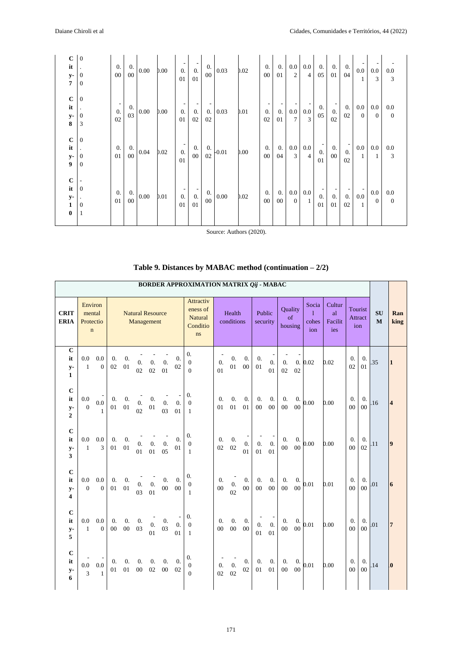| $\mathbf C$<br>it<br>y-<br>7                                | $\overline{0}$<br>$\boldsymbol{0}$<br>$\overline{0}$                   | $\overline{0}$ .<br>$00\,$                         | $\overline{0}$ .<br>$00\,$ | 0.00     | 0.00 | 0.<br>01                                           | ۰.<br>0.<br>01         | 0.<br>$00\,$           | 0.03     | 0.02 | $\theta$ .<br>00     | 0.<br>01     | 0.0<br>$\overline{2}$     | 0.0<br>$\overline{4}$ | 0.<br>05               | $\overline{0}$ .<br>01 | $\overline{0}$ .<br>04               | $0.0\,$<br>1              | 0.0<br>3            | 0.0<br>3              |
|-------------------------------------------------------------|------------------------------------------------------------------------|----------------------------------------------------|----------------------------|----------|------|----------------------------------------------------|------------------------|------------------------|----------|------|----------------------|--------------|---------------------------|-----------------------|------------------------|------------------------|--------------------------------------|---------------------------|---------------------|-----------------------|
| $\bf C$<br>it<br>y-<br>8                                    | $\mathbf{0}$<br>$\cdot$<br>$\boldsymbol{0}$<br>$\overline{\mathbf{3}}$ | $\overline{\phantom{a}}$<br>$\overline{0}$ .<br>02 | 0.<br>03                   | 0.00     | 0.00 | 0.<br>01                                           | $\overline{0}$ .<br>02 | 0.<br>02               | 0.03     | 0.01 | 0.<br>02             | 0.<br>01     | $0.0\,$<br>$\overline{7}$ | 0.0<br>3              | 0.<br>05               | $\overline{0}$ .<br>02 | $\overline{0}$ .<br>02               | $0.0\,$<br>$\overline{0}$ | 0.0<br>$\theta$     | 0.0<br>$\mathbf{0}$   |
| $\bf C$<br>it<br>$\mathbf{y}$ -<br>9                        | $\mathbf{0}$<br>$\boldsymbol{0}$<br>$\overline{0}$                     | 0.<br>01                                           | 0.<br>$00\,$               | 0.04     | 0.02 | $\overline{\phantom{a}}$<br>$\overline{0}$ .<br>01 | 0.<br>$00\,$           | $\overline{0}$ .<br>02 | $-0.01$  | 0.00 | $\theta$ .<br>$00\,$ | 0.<br>04     | $0.0\,$<br>3              | 0.0<br>$\overline{4}$ | $\overline{0}$ .<br>01 | $\theta$ .<br>$00\,$   | $\overline{\phantom{a}}$<br>0.<br>02 | $0.0\,$<br>$\mathbf{1}$   | 0.0<br>1            | 0.0<br>3              |
| $\bf C$<br>it<br>$\mathbf{y}$ -<br>$\mathbf{1}$<br>$\bf{0}$ | $\overline{0}$<br>$\overline{0}$<br>$\mathbf{1}$                       | $\overline{0}$ .<br>01                             | 0.<br>$00\,$               | $0.00\,$ | 0.01 | 0.<br>01                                           | $\overline{0}$ .<br>01 | 0.<br>$00\,$           | $0.00\,$ | 0.02 | $\theta$ .<br>$00\,$ | 0.<br>$00\,$ | $0.0\,$<br>$\overline{0}$ | 0.0<br>-1             | 0.<br>01               | $\overline{0}$ .<br>01 | $\overline{0}$ .<br>02               | $0.0\,$<br>$\mathbf{1}$   | $0.0\,$<br>$\theta$ | 0.0<br>$\overline{0}$ |

Source: Authors (2020).

|                                             |                                               |                       |                  |                            |                        |                                       |                          |                            | BORDER APPROXIMATION MATRIX Qij - MABAC                   |                        |                            |          |                            |                        |                                    |              |                            |                                |                                    |                        |                           |                         |
|---------------------------------------------|-----------------------------------------------|-----------------------|------------------|----------------------------|------------------------|---------------------------------------|--------------------------|----------------------------|-----------------------------------------------------------|------------------------|----------------------------|----------|----------------------------|------------------------|------------------------------------|--------------|----------------------------|--------------------------------|------------------------------------|------------------------|---------------------------|-------------------------|
| <b>CRIT</b><br><b>ERIA</b>                  | Environ<br>mental<br>Protectio<br>$\mathbf n$ |                       |                  |                            |                        | <b>Natural Resource</b><br>Management |                          |                            | Attractiv<br>eness of<br><b>Natural</b><br>Conditio<br>ns |                        | Health<br>conditions       |          | Public<br>security         |                        | Quality<br>of<br>housing           |              | Socia<br>1<br>cohes<br>ion | Cultur<br>al<br>Facilit<br>ies | Attract                            | Tourist<br>ion         | <b>SU</b><br>$\mathbf{M}$ | Ran<br>king             |
| $\mathbf C$<br>it<br>$y-$<br>$\mathbf{1}$   | 0.0<br>$\mathbf{1}$                           | 0.0<br>$\mathbf{0}$   | 0.<br>02         | 0.<br>01                   | 0.<br>02               | $\boldsymbol{0}$ .<br>02              | 0.<br>01                 | 0.<br>02                   | $\overline{0}$ .<br>$\boldsymbol{0}$<br>$\overline{0}$    | 0.<br>01               | 0.<br>$01\,$               | 0.<br>00 | 0.<br>01                   | $\overline{0}$ .<br>01 | 0.<br>02                           | 0.<br>02     | 0.02                       | 0.02                           | $\overline{0}$ .<br>02             | 0.<br>01               | .35                       | $\mathbf{1}$            |
| $\mathbf C$<br>it<br>$y-$<br>$\overline{2}$ | 0.0<br>$\overline{0}$                         | 0.0<br>$\mathbf{1}$   | 0.<br>01         | 0.<br>01                   | $\overline{0}$ .<br>02 | 0.<br>01                              | $\boldsymbol{0}$ .<br>03 | 0.<br>01                   | 0.<br>$\boldsymbol{0}$<br>1                               | 0.<br>01               | $\overline{0}$ .<br>01     | 0.<br>01 | $\overline{0}$ .<br>00     | 0.<br>$00\,$           | $\overline{0}$ .<br>0 <sub>0</sub> | 0.<br>00     | 0.00                       | 0.00                           | $\overline{0}$ .<br>0 <sub>0</sub> | 0.<br>0 <sub>0</sub>   | .16                       | $\overline{4}$          |
| $\mathbf C$<br>it<br>$y-$<br>3              | 0.0<br>$\mathbf{1}$                           | 0.0<br>3              | 0.<br>01         | $\overline{0}$ .<br>01     | $\overline{0}$ .<br>01 | $\mathbf{0}$ .<br>01                  | $\boldsymbol{0}$ .<br>05 | $\overline{0}$ .<br>01     | 0.<br>$\boldsymbol{0}$<br>1                               | 0.<br>02               | 0.<br>02                   | 0.<br>01 | $\boldsymbol{0}$ .<br>01   | $\overline{0}$ .<br>01 | 0.<br>$00\,$                       | 0.<br>$00\,$ | 0.00                       | 0.00                           | 0.<br>0 <sub>0</sub>               | 0.<br>02               | .11                       | $\overline{\mathbf{9}}$ |
| $\mathbf C$<br>it<br>$y-$<br>4              | 0.0<br>$\mathbf{0}$                           | 0.0<br>$\theta$       | 0.<br>01         | $\overline{0}$ .<br>01     | $\overline{0}$ .<br>03 | $\overline{0}$ .<br>01                | 0.<br>${\bf 00}$         | $\overline{0}$ .<br>$00\,$ | 0.<br>$\theta$<br>$\mathbf{1}$                            | $\overline{0}$ .<br>00 | $\overline{0}$ .<br>02     | 0.<br>00 | $\overline{0}$ .<br>$00\,$ | $\overline{0}$ .<br>00 | $\overline{0}$ .<br>$00\,$         | 0.<br>00     | 0.01                       | 0.01                           | 0.<br>0 <sub>0</sub>               | $\overline{0}$ .<br>00 | .01                       | 6                       |
| $\mathbf C$<br>it<br>$y-$<br>5              | 0.0<br>$\mathbf{1}$                           | 0.0<br>$\overline{0}$ | $\theta$ .<br>00 | $\overline{0}$ .<br>$00\,$ | $\overline{0}$ .<br>03 | 0.<br>01                              | 0.<br>03                 | $\theta$ .<br>01           | 0.<br>$\boldsymbol{0}$<br>$\mathbf{1}$                    | $\overline{0}$ .<br>00 | $\overline{0}$ .<br>$00\,$ | 0.<br>00 | $\boldsymbol{0}$ .<br>01   | $\overline{0}$ .<br>01 | 0.<br>$00\,$                       | 0.<br>$00\,$ | 0.01                       | 0.00                           | $\overline{0}$ .<br>0 <sub>0</sub> | $\overline{0}$ .<br>00 | .01                       | $\overline{7}$          |
| $\mathbf C$<br>it<br>$y-$<br>6              | 0.0<br>3                                      | 0.0<br>1              | 0.<br>01         | $\overline{0}$ .<br>01     | $\overline{0}$ .<br>00 | $\overline{0}$ .<br>02                | $\overline{0}$ .<br>00   | $\overline{0}$ .<br>02     | 0.<br>$\boldsymbol{0}$<br>$\Omega$                        | $\overline{0}$ .<br>02 | $\overline{0}$ .<br>02     | 0.<br>02 | 0.<br>01                   | 0.<br>01               | 0.<br>$00\,$                       | 0.<br>00     | 0.01                       | 0.00                           | $\overline{0}$ .<br>00             | 0.<br>00               | .14                       | $\bf{0}$                |

# **Table 9. Distances by MABAC method (continuation – 2/2)**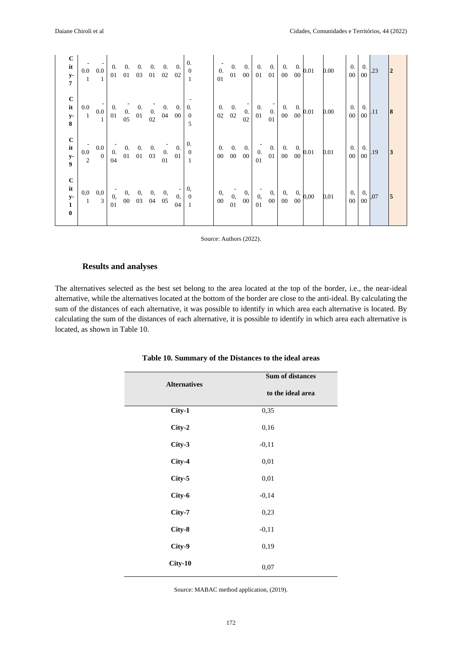| $\bf C$<br>$\mathbf{it}$<br>$\frac{y}{7}$      | $\begin{bmatrix} 1 & 1 \\ 0.0 & 0.0 \\ 1 & 1 \end{bmatrix} \begin{bmatrix} 0. & 0. & 0. & 0. & 0. & 0. \\ 0.1 & 0.1 & 0.3 & 0.1 & 0.02 & 0.02 \\ 0.1 & 0.0 & 0.0 & 0.0 & 0.0 & 0.02 \end{bmatrix}$<br>$\overline{1}$ |                                                                                   |                                                                                                                                                                                                                                                                                                                                                    |  |                                                                            |                        |                                         | $\begin{matrix} 0. \\ 0 \end{matrix}$                | $\overline{0}$ .<br>01 |              |       |                                                                                         |                                         | $\begin{array}{ccc ccc c} 0. & 0. & 0. & 0. & 0. & 0. & 0.01 \\ 0.00 & 0.01 & 0.01 & 0.00 & 0.00 & 0.00 & 0.00 \\ \end{array}$ |  | 0.00 | 0.                                  | $00\quad00$ | $1 \t0.23$                               | $\overline{2}$ |
|------------------------------------------------|----------------------------------------------------------------------------------------------------------------------------------------------------------------------------------------------------------------------|-----------------------------------------------------------------------------------|----------------------------------------------------------------------------------------------------------------------------------------------------------------------------------------------------------------------------------------------------------------------------------------------------------------------------------------------------|--|----------------------------------------------------------------------------|------------------------|-----------------------------------------|------------------------------------------------------|------------------------|--------------|-------|-----------------------------------------------------------------------------------------|-----------------------------------------|--------------------------------------------------------------------------------------------------------------------------------|--|------|-------------------------------------|-------------|------------------------------------------|----------------|
| $\bf C$<br>$\mathbf{it}$<br>$\frac{y}{8}$      | $0.0\,$<br>$\mathbf{1}^-$                                                                                                                                                                                            | $\begin{bmatrix} 1 \\ 0.0 \end{bmatrix}$<br>$\overline{1}$                        | $\begin{array}{ rrrr} 0. & \begin{array}{cc} 0. & \begin{array}{cc} - & 0. \end{array} \\ 0. & 0. & 0. \end{array} \\ 0. & 0. & 0. \end{array} \\ 0. & 0. & 0. \\ 0. & 0. & 0. \\ 0. & 0. & 0. \\ 0. & 0. & 0. \\ 0. & 0. & 0. \\ 0. & 0. & 0. \\ 0. & 0. & 0. \\ 0. & 0. & 0. \\ 0. & 0. & 0. \\ 0. & 0. & 0. \\ 0. & 0. & 0. \\ 0. & 0. & 0. \\$ |  |                                                                            |                        | $\begin{array}{c} 0. \\ 00 \end{array}$ | 0.<br>$\overline{0}$<br>5                            | 0.<br>02               | 0.<br>$02\,$ | 02    | $\begin{bmatrix} 0 \\ 0 \\ 2 \end{bmatrix}$ $\begin{bmatrix} 1 \\ 0 \\ 1 \end{bmatrix}$ | 01                                      | $\begin{bmatrix} 0 \\ 0 \\ 00 \end{bmatrix}$ $\begin{bmatrix} 0. & 0 \\ 0. & 00 \end{bmatrix}$ 0.01                            |  | 0.00 | 0.<br>$00\quad 00$                  |             | $\begin{array}{c c} 0. & 11 \end{array}$ | 8              |
| $\bf C$<br>it<br>y-<br>9                       | $\begin{array}{c} 0.0 \\ 2 \end{array}$                                                                                                                                                                              | $\begin{array}{c cc} 0.0 & - & 0. & 0. & 0. \\ 0 & 0. & 01 & 01 & 03 \end{array}$ |                                                                                                                                                                                                                                                                                                                                                    |  |                                                                            | $\overline{0}$ .<br>01 | $\mathbf{0}$ .<br>01                    | $\overline{0}$ .<br>$\overline{0}$<br>$\overline{1}$ | 0.<br>$00\,$           |              | 0. 0. | $\begin{bmatrix} 0 & 0 \\ 0 & 0 \\ 0 & 0 \end{bmatrix}$ 0.<br>01                        |                                         | $\begin{array}{c cc} 0. & 0. & 0. & 0. & 0. & 0.01 \end{array}$                                                                |  | 0.01 | $\overline{0}$ .<br>$\overline{00}$ | $00\,$      | $\begin{array}{c c} 0. & 19 \end{array}$ | 3              |
| $\frac{c}{it}$<br>$\frac{y-1}{t}$<br>$\pmb{0}$ | $_{0,0}$<br>$\frac{1}{1}$                                                                                                                                                                                            | 0,0<br>$\overline{3}$                                                             | 01                                                                                                                                                                                                                                                                                                                                                 |  | $\begin{bmatrix} 0 & 0 & 0 & 0 & 0 \\ 0 & 00 & 03 & 04 & 05 \end{bmatrix}$ |                        | $0, \,$<br>04                           | 0,<br>$\boldsymbol{0}$                               | 0,<br>00               | 01           | 0, 00 | $\begin{bmatrix} 0, \\ 0, \end{bmatrix}$ 0,<br>01                                       | $\begin{array}{c} 0, \\ 00 \end{array}$ | $\begin{matrix} 0, & 0, \\ 00 & 00 \end{matrix}$ 0,00                                                                          |  | 0,01 | 0,                                  | $00\quad0$  | $\begin{array}{c} 0, 07 \end{array}$     | $\overline{5}$ |

Source: Authors (2022).

#### **Results and analyses**

The alternatives selected as the best set belong to the area located at the top of the border, i.e., the near-ideal alternative, while the alternatives located at the bottom of the border are close to the anti-ideal. By calculating the sum of the distances of each alternative, it was possible to identify in which area each alternative is located. By calculating the sum of the distances of each alternative, it is possible to identify in which area each alternative is located, as shown in Table 10.

|                     | Sum of distances  |
|---------------------|-------------------|
| <b>Alternatives</b> | to the ideal area |
| City-1              | 0,35              |
| City-2              | 0,16              |
| City-3              | $-0,11$           |
| City-4              | 0,01              |
| City-5              | 0,01              |
| City-6              | $-0,14$           |
| City-7              | 0,23              |
| City-8              | $-0,11$           |
| City-9              | 0,19              |
| $City-10$           | 0,07              |

**Table 10. Summary of the Distances to the ideal areas**

Source: MABAC method application, (2019).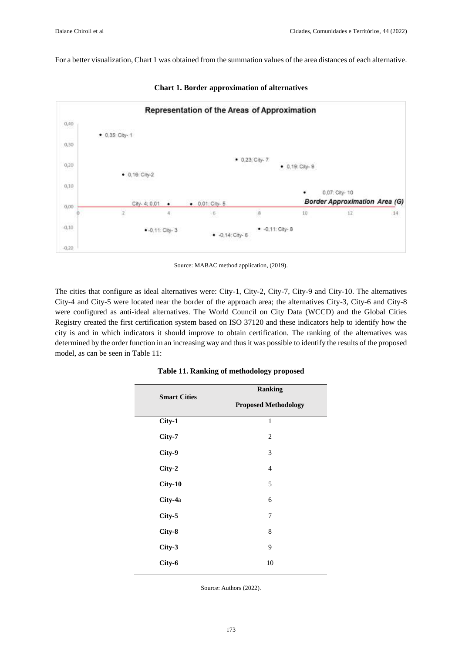For a better visualization, Chart 1 was obtained from the summation values of the area distances of each alternative.



**Chart 1. Border approximation of alternatives**

Source: MABAC method application, (2019).

The cities that configure as ideal alternatives were: City-1, City-2, City-7, City-9 and City-10. The alternatives City-4 and City-5 were located near the border of the approach area; the alternatives City-3, City-6 and City-8 were configured as anti-ideal alternatives. The World Council on City Data (WCCD) and the Global Cities Registry created the first certification system based on ISO 37120 and these indicators help to identify how the city is and in which indicators it should improve to obtain certification. The ranking of the alternatives was determined by the order function in an increasing way and thus it was possible to identify the results of the proposed model, as can be seen in Table 11:

| <b>Smart Cities</b> | <b>Ranking</b>              |
|---------------------|-----------------------------|
|                     | <b>Proposed Methodology</b> |
| City-1              | $\mathbf{1}$                |
| City-7              | $\overline{c}$              |
| City-9              | 3                           |
| City-2              | 4                           |
| $City-10$           | 5                           |
| City-4a             | 6                           |
| City-5              | 7                           |
| City-8              | 8                           |
| City-3              | 9                           |
| City-6              | 10                          |

#### **Table 11. Ranking of methodology proposed**

Source: Authors (2022).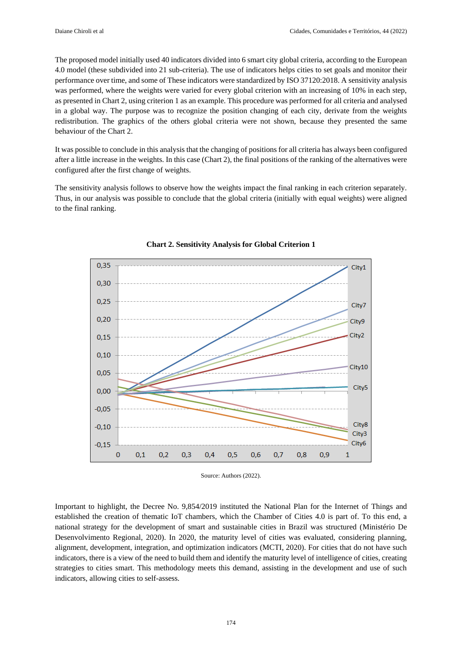The proposed model initially used 40 indicators divided into 6 smart city global criteria, according to the European 4.0 model (these subdivided into 21 sub-criteria). The use of indicators helps cities to set goals and monitor their performance over time, and some of These indicators were standardized by ISO 37120:2018. A sensitivity analysis was performed, where the weights were varied for every global criterion with an increasing of 10% in each step, as presented in Chart 2, using criterion 1 as an example. This procedure was performed for all criteria and analysed in a global way. The purpose was to recognize the position changing of each city, derivate from the weights redistribution. The graphics of the others global criteria were not shown, because they presented the same behaviour of the Chart 2.

It was possible to conclude in this analysis that the changing of positions for all criteria has always been configured after a little increase in the weights. In this case (Chart 2), the final positions of the ranking of the alternatives were configured after the first change of weights.

The sensitivity analysis follows to observe how the weights impact the final ranking in each criterion separately. Thus, in our analysis was possible to conclude that the global criteria (initially with equal weights) were aligned to the final ranking.



#### **Chart 2. Sensitivity Analysis for Global Criterion 1**

Source: Authors (2022).

Important to highlight, the Decree No. 9,854/2019 instituted the National Plan for the Internet of Things and established the creation of thematic IoT chambers, which the Chamber of Cities 4.0 is part of. To this end, a national strategy for the development of smart and sustainable cities in Brazil was structured (Ministério De Desenvolvimento Regional, 2020). In 2020, the maturity level of cities was evaluated, considering planning, alignment, development, integration, and optimization indicators (MCTI, 2020). For cities that do not have such indicators, there is a view of the need to build them and identify the maturity level of intelligence of cities, creating strategies to cities smart. This methodology meets this demand, assisting in the development and use of such indicators, allowing cities to self-assess.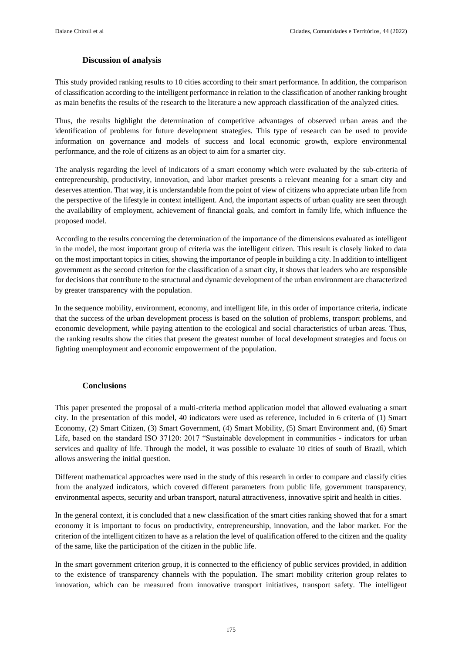## **Discussion of analysis**

This study provided ranking results to 10 cities according to their smart performance. In addition, the comparison of classification according to the intelligent performance in relation to the classification of another ranking brought as main benefits the results of the research to the literature a new approach classification of the analyzed cities.

Thus, the results highlight the determination of competitive advantages of observed urban areas and the identification of problems for future development strategies. This type of research can be used to provide information on governance and models of success and local economic growth, explore environmental performance, and the role of citizens as an object to aim for a smarter city.

The analysis regarding the level of indicators of a smart economy which were evaluated by the sub-criteria of entrepreneurship, productivity, innovation, and labor market presents a relevant meaning for a smart city and deserves attention. That way, it is understandable from the point of view of citizens who appreciate urban life from the perspective of the lifestyle in context intelligent. And, the important aspects of urban quality are seen through the availability of employment, achievement of financial goals, and comfort in family life, which influence the proposed model.

According to the results concerning the determination of the importance of the dimensions evaluated as intelligent in the model, the most important group of criteria was the intelligent citizen. This result is closely linked to data on the most important topics in cities, showing the importance of people in building a city. In addition to intelligent government as the second criterion for the classification of a smart city, it shows that leaders who are responsible for decisions that contribute to the structural and dynamic development of the urban environment are characterized by greater transparency with the population.

In the sequence mobility, environment, economy, and intelligent life, in this order of importance criteria, indicate that the success of the urban development process is based on the solution of problems, transport problems, and economic development, while paying attention to the ecological and social characteristics of urban areas. Thus, the ranking results show the cities that present the greatest number of local development strategies and focus on fighting unemployment and economic empowerment of the population.

## **Conclusions**

This paper presented the proposal of a multi-criteria method application model that allowed evaluating a smart city. In the presentation of this model, 40 indicators were used as reference, included in 6 criteria of (1) Smart Economy, (2) Smart Citizen, (3) Smart Government, (4) Smart Mobility, (5) Smart Environment and, (6) Smart Life, based on the standard ISO 37120: 2017 "Sustainable development in communities - indicators for urban services and quality of life. Through the model, it was possible to evaluate 10 cities of south of Brazil, which allows answering the initial question.

Different mathematical approaches were used in the study of this research in order to compare and classify cities from the analyzed indicators, which covered different parameters from public life, government transparency, environmental aspects, security and urban transport, natural attractiveness, innovative spirit and health in cities.

In the general context, it is concluded that a new classification of the smart cities ranking showed that for a smart economy it is important to focus on productivity, entrepreneurship, innovation, and the labor market. For the criterion of the intelligent citizen to have as a relation the level of qualification offered to the citizen and the quality of the same, like the participation of the citizen in the public life.

In the smart government criterion group, it is connected to the efficiency of public services provided, in addition to the existence of transparency channels with the population. The smart mobility criterion group relates to innovation, which can be measured from innovative transport initiatives, transport safety. The intelligent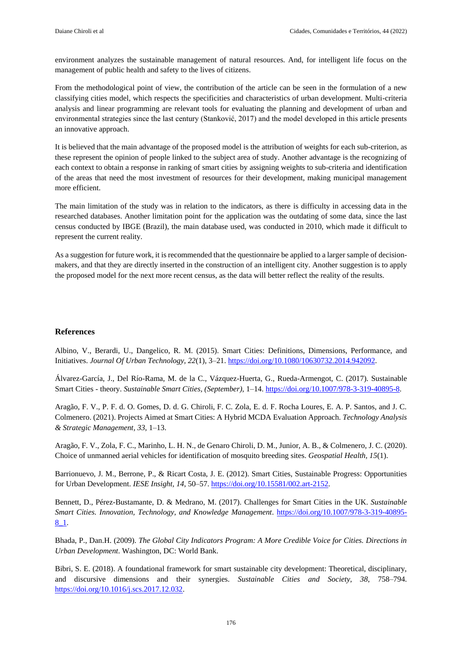environment analyzes the sustainable management of natural resources. And, for intelligent life focus on the management of public health and safety to the lives of citizens.

From the methodological point of view, the contribution of the article can be seen in the formulation of a new classifying cities model, which respects the specificities and characteristics of urban development. Multi-criteria analysis and linear programming are relevant tools for evaluating the planning and development of urban and environmental strategies since the last century (Stanković, 2017) and the model developed in this article presents an innovative approach.

It is believed that the main advantage of the proposed model is the attribution of weights for each sub-criterion, as these represent the opinion of people linked to the subject area of study. Another advantage is the recognizing of each context to obtain a response in ranking of smart cities by assigning weights to sub-criteria and identification of the areas that need the most investment of resources for their development, making municipal management more efficient.

The main limitation of the study was in relation to the indicators, as there is difficulty in accessing data in the researched databases. Another limitation point for the application was the outdating of some data, since the last census conducted by IBGE (Brazil), the main database used, was conducted in 2010, which made it difficult to represent the current reality.

As a suggestion for future work, it is recommended that the questionnaire be applied to a larger sample of decisionmakers, and that they are directly inserted in the construction of an intelligent city. Another suggestion is to apply the proposed model for the next more recent census, as the data will better reflect the reality of the results.

#### **References**

Albino, V., Berardi, U., Dangelico, R. M. (2015). Smart Cities: Definitions, Dimensions, Performance, and Initiatives. *Journal Of Urban Technology, 22*(1), 3–21. [https://doi.org/10.1080/10630732.2014.942092.](https://doi.org/10.1080/10630732.2014.942092)

Álvarez-García, J., Del Río-Rama, M. de la C., Vázquez-Huerta, G., Rueda-Armengot, C. (2017). Sustainable Smart Cities - theory. *Sustainable Smart Cities, (September)*, 1–14. [https://doi.org/10.1007/978-3-319-40895-8.](https://doi.org/10.1007/978-3-319-40895-8)

Aragão, F. V., P. F. d. O. Gomes, D. d. G. Chiroli, F. C. Zola, E. d. F. Rocha Loures, E. A. P. Santos, and J. C. Colmenero. (2021). Projects Aimed at Smart Cities: A Hybrid MCDA Evaluation Approach. *Technology Analysis & Strategic Management, 33*, 1–13.

Aragão, F. V., Zola, F. C., Marinho, L. H. N., de Genaro Chiroli, D. M., Junior, A. B., & Colmenero, J. C. (2020). Choice of unmanned aerial vehicles for identification of mosquito breeding sites. *Geospatial Health, 15*(1).

Barrionuevo, J. M., Berrone, P., & Ricart Costa, J. E. (2012). Smart Cities, Sustainable Progress: Opportunities for Urban Development. *IESE Insight, 14*, 50–57. [https://doi.org/10.15581/002.art-2152.](https://doi.org/10.15581/002.art-2152)

Bennett, D., Pérez-Bustamante, D. & Medrano, M. (2017). Challenges for Smart Cities in the UK. *Sustainable Smart Cities. Innovation, Technology, and Knowledge Management*. [https://doi.org/10.1007/978-3-319-40895-](https://doi.org/10.1007/978-3-319-40895-8_1) [8\\_1.](https://doi.org/10.1007/978-3-319-40895-8_1)

Bhada, P., Dan.H. (2009). *The Global City Indicators Program: A More Credible Voice for Cities. Directions in Urban Development*. Washington, DC: World Bank.

Bibri, S. E. (2018). A foundational framework for smart sustainable city development: Theoretical, disciplinary, and discursive dimensions and their synergies. *Sustainable Cities and Society, 38*, 758–794. [https://doi.org/10.1016/j.scs.2017.12.032.](https://doi.org/10.1016/j.scs.2017.12.032)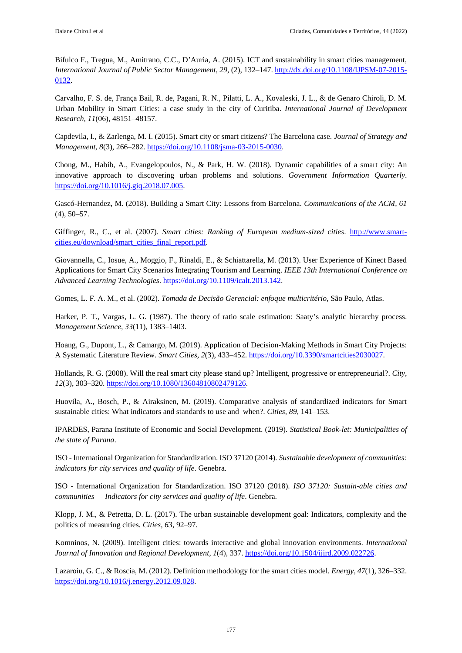Bifulco F., Tregua, M., Amitrano, C.C., D'Auria, A. (2015). ICT and sustainability in smart cities management, *International Journal of Public Sector Management, 29*, (2), 132–147. [http://dx.doi.org/10.1108/IJPSM-07-2015-](http://dx.doi.org/10.1108/IJPSM-07-2015-0132) [0132.](http://dx.doi.org/10.1108/IJPSM-07-2015-0132)

Carvalho, F. S. de, França Bail, R. de, Pagani, R. N., Pilatti, L. A., Kovaleski, J. L., & de Genaro Chiroli, D. M. Urban Mobility in Smart Cities: a case study in the city of Curitiba. *International Journal of Development Research, 11*(06), 48151–48157.

Capdevila, I., & Zarlenga, M. I. (2015). Smart city or smart citizens? The Barcelona case. *Journal of Strategy and Management, 8*(3), 266–282. [https://doi.org/10.1108/jsma-03-2015-0030.](https://doi.org/10.1108/jsma-03-2015-0030)

Chong, M., Habib, A., Evangelopoulos, N., & Park, H. W. (2018). Dynamic capabilities of a smart city: An innovative approach to discovering urban problems and solutions. *Government Information Quarterly*. [https://doi.org/10.1016/j.giq.2018.07.005.](https://doi.org/10.1016/j.giq.2018.07.005)

Gascó-Hernandez, M. (2018). Building a Smart City: Lessons from Barcelona. *Communications of the ACM, 61* (4), 50–57.

Giffinger, R., C., et al. (2007). *Smart cities: Ranking of European medium-sized cities*. [http://www.smart](http://www.smart-cities.eu/download/smart_cities_final_report.pdf)[cities.eu/download/smart\\_cities\\_final\\_report.pdf.](http://www.smart-cities.eu/download/smart_cities_final_report.pdf)

Giovannella, C., Iosue, A., Moggio, F., Rinaldi, E., & Schiattarella, M. (2013). User Experience of Kinect Based Applications for Smart City Scenarios Integrating Tourism and Learning. *IEEE 13th International Conference on Advanced Learning Technologies*. [https://doi.org/10.1109/icalt.2013.142.](https://doi.org/10.1109/icalt.2013.142)

Gomes, L. F. A. M., et al. (2002). *Tomada de Decisão Gerencial: enfoque multicritério*, São Paulo, Atlas.

Harker, P. T., Vargas, L. G. (1987). The theory of ratio scale estimation: Saaty's analytic hierarchy process. *Management Science, 33*(11), 1383–1403.

Hoang, G., Dupont, L., & Camargo, M. (2019). Application of Decision-Making Methods in Smart City Projects: A Systematic Literature Review. *Smart Cities, 2*(3), 433–452. [https://doi.org/10.3390/smartcities2030027.](https://doi.org/10.3390/smartcities2030027)

Hollands, R. G. (2008). Will the real smart city please stand up? Intelligent, progressive or entrepreneurial?. *City, 12*(3), 303–320[. https://doi.org/10.1080/13604810802479126.](https://doi.org/10.1080/13604810802479126)

Huovila, A., Bosch, P., & Airaksinen, M. (2019). Comparative analysis of standardized indicators for Smart sustainable cities: What indicators and standards to use and when?. *Cities, 89*, 141–153.

IPARDES, Parana Institute of Economic and Social Development. (2019). *Statistical Book-let: Municipalities of the state of Parana*.

ISO - International Organization for Standardization. ISO 37120 (2014). *Sustainable development of communities: indicators for city services and quality of life*. Genebra.

ISO - International Organization for Standardization. ISO 37120 (2018). *ISO 37120: Sustain-able cities and communities — Indicators for city services and quality of life*. Genebra.

Klopp, J. M., & Petretta, D. L. (2017). The urban sustainable development goal: Indicators, complexity and the politics of measuring cities. *Cities, 63*, 92–97.

Komninos, N. (2009). Intelligent cities: towards interactive and global innovation environments. *International Journal of Innovation and Regional Development, 1*(4), 337. [https://doi.org/10.1504/ijird.2009.022726.](https://doi.org/10.1504/ijird.2009.022726)

Lazaroiu, G. C., & Roscia, M. (2012). Definition methodology for the smart cities model. *Energy, 47*(1), 326–332. [https://doi.org/10.1016/j.energy.2012.09.028.](https://doi.org/10.1016/j.energy.2012.09.028)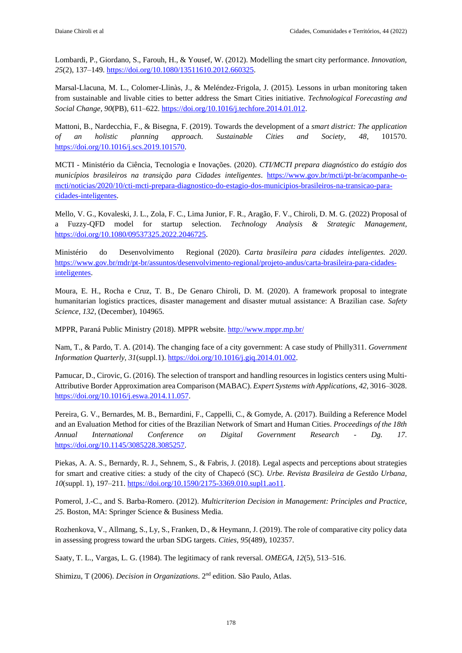Lombardi, P., Giordano, S., Farouh, H., & Yousef, W. (2012). Modelling the smart city performance. *Innovation, 25*(2), 137–149[. https://doi.org/10.1080/13511610.2012.660325.](https://doi.org/10.1080/13511610.2012.660325)

Marsal-Llacuna, M. L., Colomer-Llinàs, J., & Meléndez-Frigola, J. (2015). Lessons in urban monitoring taken from sustainable and livable cities to better address the Smart Cities initiative. *Technological Forecasting and Social Change, 90*(PB), 611–622. [https://doi.org/10.1016/j.techfore.2014.01.012.](https://doi.org/10.1016/j.techfore.2014.01.012)

Mattoni, B., Nardecchia, F., & Bisegna, F. (2019). Towards the development of a *smart district: The application of an holistic planning approach. Sustainable Cities and Society, 48*, 101570. [https://doi.org/10.1016/j.scs.2019.101570.](https://doi.org/10.1016/j.scs.2019.101570)

MCTI - Ministério da Ciência, Tecnologia e Inovações. (2020). *CTI/MCTI prepara diagnóstico do estágio dos municípios brasileiros na transição para Cidades inteligentes*. [https://www.gov.br/mcti/pt-br/acompanhe-o](https://www.gov.br/mcti/pt-br/acompanhe-o-mcti/noticias/2020/10/cti-mcti-prepara-diagnostico-do-estagio-dos-municipios-brasileiros-na-transicao-para-cidades-inteligentes)[mcti/noticias/2020/10/cti-mcti-prepara-diagnostico-do-estagio-dos-municipios-brasileiros-na-transicao-para](https://www.gov.br/mcti/pt-br/acompanhe-o-mcti/noticias/2020/10/cti-mcti-prepara-diagnostico-do-estagio-dos-municipios-brasileiros-na-transicao-para-cidades-inteligentes)[cidades-inteligentes.](https://www.gov.br/mcti/pt-br/acompanhe-o-mcti/noticias/2020/10/cti-mcti-prepara-diagnostico-do-estagio-dos-municipios-brasileiros-na-transicao-para-cidades-inteligentes)

Mello, V. G., Kovaleski, J. L., Zola, F. C., Lima Junior, F. R., Aragão, F. V., Chiroli, D. M. G. (2022) Proposal of a Fuzzy-QFD model for startup selection. *Technology Analysis & Strategic Management*, [https://doi.org/10.1080/09537325.2022.2046725.](https://doi.org/10.1080/09537325.2022.2046725)

Ministério do Desenvolvimento Regional (2020). *Carta brasileira para cidades inteligentes. 2020*. [https://www.gov.br/mdr/pt-br/assuntos/desenvolvimento-regional/projeto-andus/carta-brasileira-para-cidades](https://www.gov.br/mdr/pt-br/assuntos/desenvolvimento-regional/projeto-andus/carta-brasileira-para-cidades-inteligentes)[inteligentes.](https://www.gov.br/mdr/pt-br/assuntos/desenvolvimento-regional/projeto-andus/carta-brasileira-para-cidades-inteligentes)

Moura, E. H., Rocha e Cruz, T. B., De Genaro Chiroli, D. M. (2020). A framework proposal to integrate humanitarian logistics practices, disaster management and disaster mutual assistance: A Brazilian case. *Safety Science, 132*, (December), 104965.

MPPR, Paraná Public Ministry (2018). MPPR website[. http://www.mppr.mp.br/](http://www.mppr.mp.br/)

Nam, T., & Pardo, T. A. (2014). The changing face of a city government: A case study of Philly311. *Government Information Quarterly, 31*(suppl.1)[. https://doi.org/10.1016/j.giq.2014.01.002.](https://doi.org/10.1016/j.giq.2014.01.002)

Pamucar, D., Cirovic, G. (2016). The selection of transport and handling resources in logistics centers using Multi-Attributive Border Approximation area Comparison (MABAC). *Expert Systems with Applications, 42*, 3016–3028. [https://doi.org/10.1016/j.eswa.2014.11.057.](https://doi.org/10.1016/j.eswa.2014.11.057)

Pereira, G. V., Bernardes, M. B., Bernardini, F., Cappelli, C., & Gomyde, A. (2017). Building a Reference Model and an Evaluation Method for cities of the Brazilian Network of Smart and Human Cities. *Proceedings of the 18th Annual International Conference on Digital Government Research - Dg. 17*. [https://doi.org/10.1145/3085228.3085257.](https://doi.org/10.1145/3085228.3085257)

Piekas, A. A. S., Bernardy, R. J., Sehnem, S., & Fabris, J. (2018). Legal aspects and perceptions about strategies for smart and creative cities: a study of the city of Chapecó (SC). *Urbe. Revista Brasileira de Gestão Urbana, 10*(suppl. 1), 197–211. [https://doi.org/10.1590/2175-3369.010.supl1.ao11.](https://doi.org/10.1590/2175-3369.010.supl1.ao11)

Pomerol, J.-C., and S. Barba-Romero. (2012). *Multicriterion Decision in Management: Principles and Practice, 25*. Boston, MA: Springer Science & Business Media.

Rozhenkova, V., Allmang, S., Ly, S., Franken, D., & Heymann, J. (2019). The role of comparative city policy data in assessing progress toward the urban SDG targets. *Cities, 95*(489), 102357.

Saaty, T. L., Vargas, L. G. (1984). The legitimacy of rank reversal. *OMEGA, 12*(5), 513–516.

Shimizu, T (2006). *Decision in Organizations*. 2nd edition. São Paulo, Atlas.